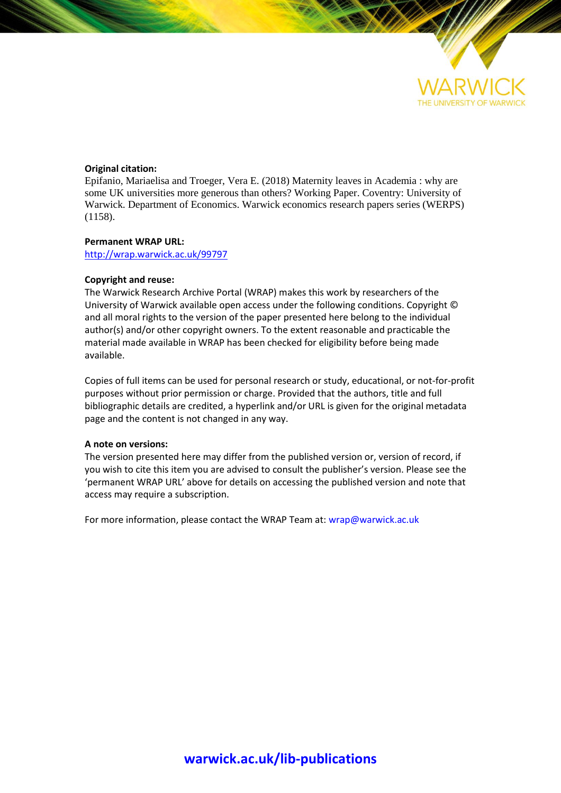

#### **Original citation:**

Epifanio, Mariaelisa and Troeger, Vera E. (2018) Maternity leaves in Academia : why are some UK universities more generous than others? Working Paper. Coventry: University of Warwick. Department of Economics. Warwick economics research papers series (WERPS) (1158).

#### **Permanent WRAP URL:**

<http://wrap.warwick.ac.uk/99797>

#### **Copyright and reuse:**

The Warwick Research Archive Portal (WRAP) makes this work by researchers of the University of Warwick available open access under the following conditions. Copyright © and all moral rights to the version of the paper presented here belong to the individual author(s) and/or other copyright owners. To the extent reasonable and practicable the material made available in WRAP has been checked for eligibility before being made available.

Copies of full items can be used for personal research or study, educational, or not-for-profit purposes without prior permission or charge. Provided that the authors, title and full bibliographic details are credited, a hyperlink and/or URL is given for the original metadata page and the content is not changed in any way.

#### **A note on versions:**

The version presented here may differ from the published version or, version of record, if you wish to cite this item you are advised to consult the publisher's version. Please see the 'permanent WRAP URL' above for details on accessing the published version and note that access may require a subscription.

For more information, please contact the WRAP Team at[: wrap@warwick.ac.uk](mailto:wrap@warwick.ac.uk)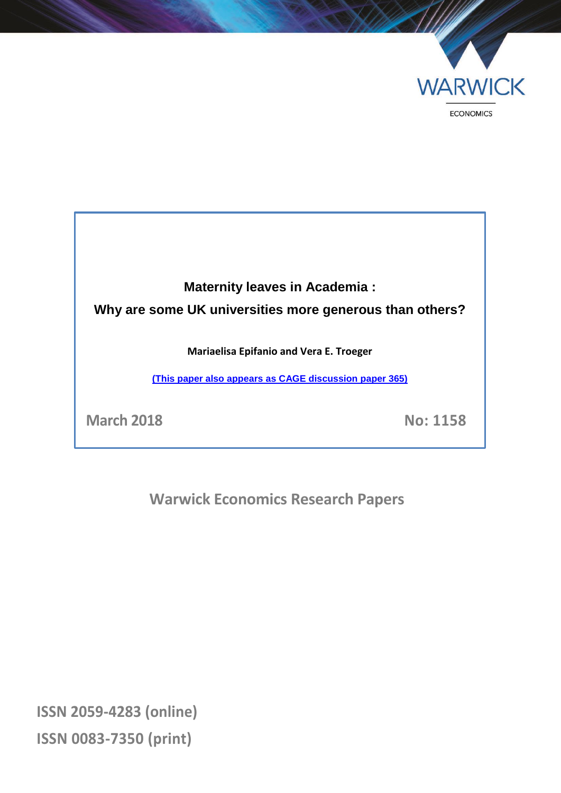

# **Maternity leaves in Academia : Why are some UK universities more generous than others?**

**Mariaelisa Epifanio and Vera E. Troeger**

**[\(This paper also appears as CAGE discussion paper 365\)](https://warwick.ac.uk/fac/soc/economics/research/centres/cage/manage/publications/365-2018_troeger.pdf)**

**March 2018 No: 1158**

**Warwick Economics Research Papers**

**ISSN 2059-4283 (online) ISSN 0083-7350 (print)**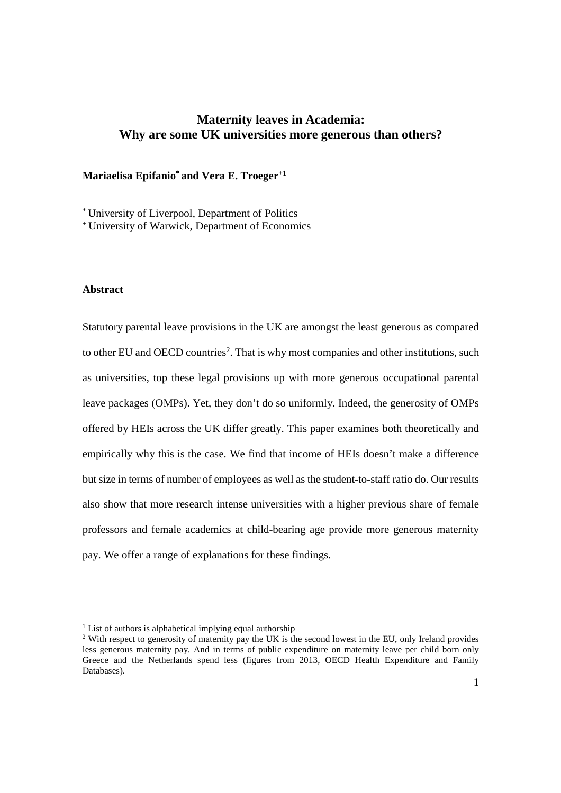### **Maternity leaves in Academia: Why are some UK universities more generous than others?**

#### **Mariaelisa Epifanio\* and Vera E. Troeger+1**

\* University of Liverpool, Department of Politics

<sup>+</sup> University of Warwick, Department of Economics

#### **Abstract**

Statutory parental leave provisions in the UK are amongst the least generous as compared to other EU and OECD countries<sup>2</sup>. That is why most companies and other institutions, such as universities, top these legal provisions up with more generous occupational parental leave packages (OMPs). Yet, they don't do so uniformly. Indeed, the generosity of OMPs offered by HEIs across the UK differ greatly. This paper examines both theoretically and empirically why this is the case. We find that income of HEIs doesn't make a difference but size in terms of number of employees as well as the student-to-staff ratio do. Our results also show that more research intense universities with a higher previous share of female professors and female academics at child-bearing age provide more generous maternity pay. We offer a range of explanations for these findings.

<sup>&</sup>lt;sup>1</sup> List of authors is alphabetical implying equal authorship

<sup>&</sup>lt;sup>2</sup> With respect to generosity of maternity pay the UK is the second lowest in the EU, only Ireland provides less generous maternity pay. And in terms of public expenditure on maternity leave per child born only Greece and the Netherlands spend less (figures from 2013, OECD Health Expenditure and Family Databases).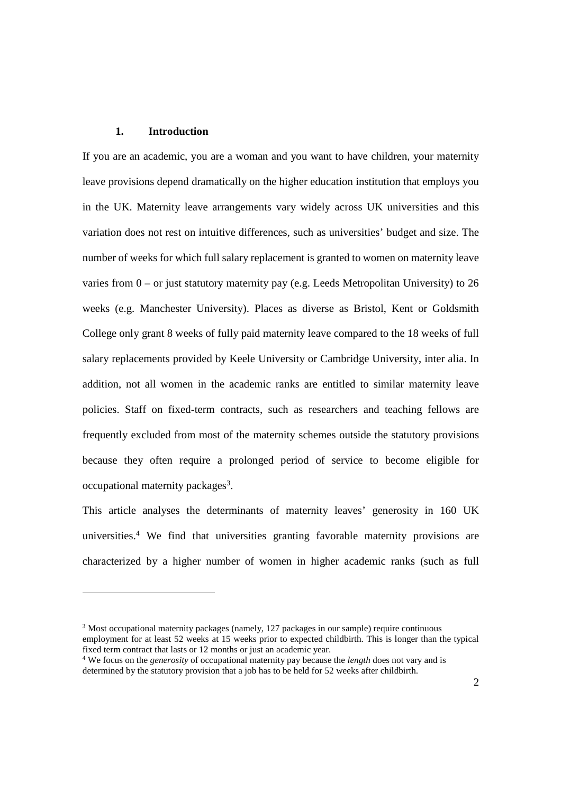#### **1. Introduction**

If you are an academic, you are a woman and you want to have children, your maternity leave provisions depend dramatically on the higher education institution that employs you in the UK. Maternity leave arrangements vary widely across UK universities and this variation does not rest on intuitive differences, such as universities' budget and size. The number of weeks for which full salary replacement is granted to women on maternity leave varies from 0 – or just statutory maternity pay (e.g. Leeds Metropolitan University) to 26 weeks (e.g. Manchester University). Places as diverse as Bristol, Kent or Goldsmith College only grant 8 weeks of fully paid maternity leave compared to the 18 weeks of full salary replacements provided by Keele University or Cambridge University, inter alia. In addition, not all women in the academic ranks are entitled to similar maternity leave policies. Staff on fixed-term contracts, such as researchers and teaching fellows are frequently excluded from most of the maternity schemes outside the statutory provisions because they often require a prolonged period of service to become eligible for occupational maternity packages<sup>3</sup>.

This article analyses the determinants of maternity leaves' generosity in 160 UK universities.<sup>4</sup> We find that universities granting favorable maternity provisions are characterized by a higher number of women in higher academic ranks (such as full

<sup>&</sup>lt;sup>3</sup> Most occupational maternity packages (namely, 127 packages in our sample) require continuous employment for at least 52 weeks at 15 weeks prior to expected childbirth. This is longer than the typical fixed term contract that lasts or 12 months or just an academic year.

<sup>4</sup> We focus on the *generosity* of occupational maternity pay because the *length* does not vary and is determined by the statutory provision that a job has to be held for 52 weeks after childbirth.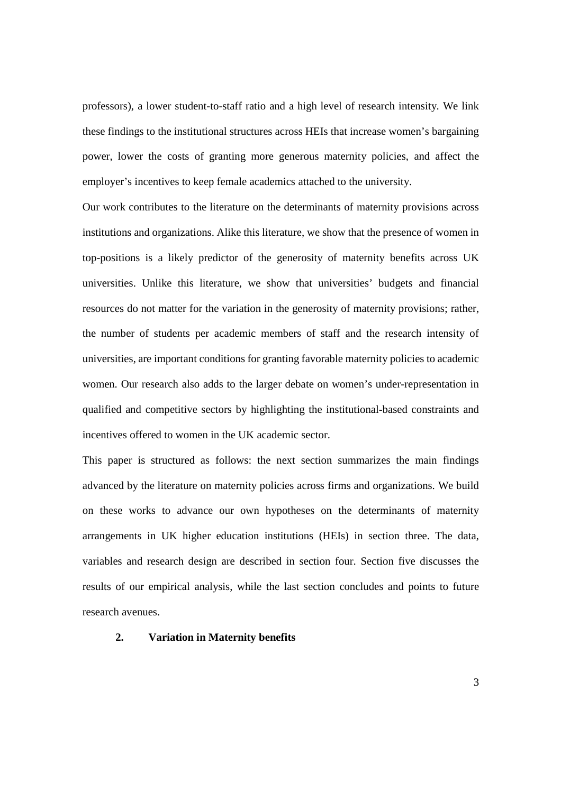professors), a lower student-to-staff ratio and a high level of research intensity. We link these findings to the institutional structures across HEIs that increase women's bargaining power, lower the costs of granting more generous maternity policies, and affect the employer's incentives to keep female academics attached to the university.

Our work contributes to the literature on the determinants of maternity provisions across institutions and organizations. Alike this literature, we show that the presence of women in top-positions is a likely predictor of the generosity of maternity benefits across UK universities. Unlike this literature, we show that universities' budgets and financial resources do not matter for the variation in the generosity of maternity provisions; rather, the number of students per academic members of staff and the research intensity of universities, are important conditions for granting favorable maternity policies to academic women. Our research also adds to the larger debate on women's under-representation in qualified and competitive sectors by highlighting the institutional-based constraints and incentives offered to women in the UK academic sector.

This paper is structured as follows: the next section summarizes the main findings advanced by the literature on maternity policies across firms and organizations. We build on these works to advance our own hypotheses on the determinants of maternity arrangements in UK higher education institutions (HEIs) in section three. The data, variables and research design are described in section four. Section five discusses the results of our empirical analysis, while the last section concludes and points to future research avenues.

#### **2. Variation in Maternity benefits**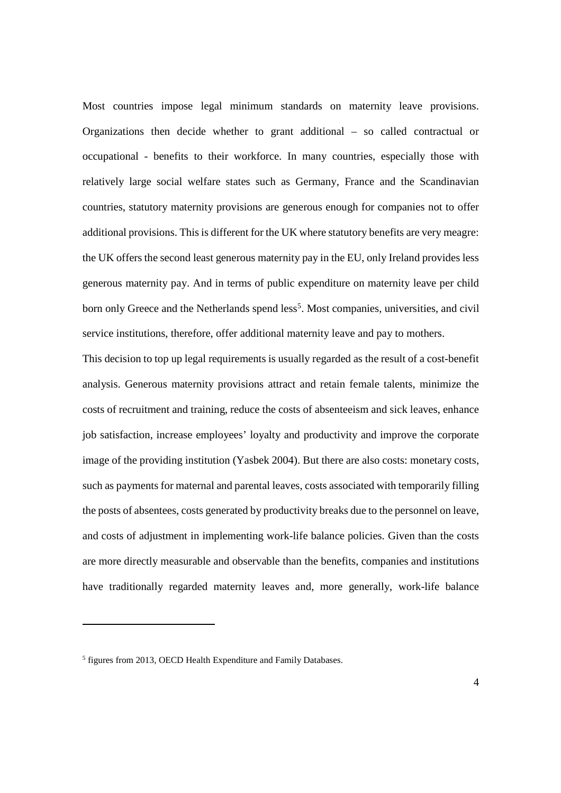Most countries impose legal minimum standards on maternity leave provisions. Organizations then decide whether to grant additional – so called contractual or occupational - benefits to their workforce. In many countries, especially those with relatively large social welfare states such as Germany, France and the Scandinavian countries, statutory maternity provisions are generous enough for companies not to offer additional provisions. This is different for the UK where statutory benefits are very meagre: the UK offers the second least generous maternity pay in the EU, only Ireland provides less generous maternity pay. And in terms of public expenditure on maternity leave per child born only Greece and the Netherlands spend less<sup>5</sup>. Most companies, universities, and civil service institutions, therefore, offer additional maternity leave and pay to mothers.

This decision to top up legal requirements is usually regarded as the result of a cost-benefit analysis. Generous maternity provisions attract and retain female talents, minimize the costs of recruitment and training, reduce the costs of absenteeism and sick leaves, enhance job satisfaction, increase employees' loyalty and productivity and improve the corporate image of the providing institution (Yasbek 2004). But there are also costs: monetary costs, such as payments for maternal and parental leaves, costs associated with temporarily filling the posts of absentees, costs generated by productivity breaks due to the personnel on leave, and costs of adjustment in implementing work-life balance policies. Given than the costs are more directly measurable and observable than the benefits, companies and institutions have traditionally regarded maternity leaves and, more generally, work-life balance

<sup>&</sup>lt;sup>5</sup> figures from 2013, OECD Health Expenditure and Family Databases.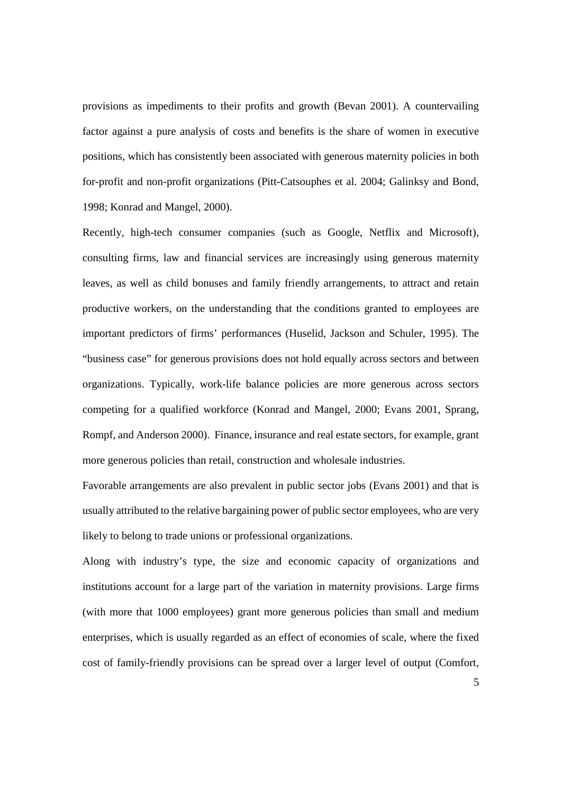provisions as impediments to their profits and growth (Bevan 2001). A countervailing factor against a pure analysis of costs and benefits is the share of women in executive positions, which has consistently been associated with generous maternity policies in both for-profit and non-profit organizations (Pitt-Catsouphes et al. 2004; Galinksy and Bond, 1998; Konrad and Mangel, 2000).

Recently, high-tech consumer companies (such as Google, Netflix and Microsoft), consulting firms, law and financial services are increasingly using generous maternity leaves, as well as child bonuses and family friendly arrangements, to attract and retain productive workers, on the understanding that the conditions granted to employees are important predictors of firms' performances (Huselid, Jackson and Schuler, 1995). The "business case" for generous provisions does not hold equally across sectors and between organizations. Typically, work-life balance policies are more generous across sectors competing for a qualified workforce (Konrad and Mangel, 2000; Evans 2001, Sprang, Rompf, and Anderson 2000). Finance, insurance and real estate sectors, for example, grant more generous policies than retail, construction and wholesale industries.

Favorable arrangements are also prevalent in public sector jobs (Evans 2001) and that is usually attributed to the relative bargaining power of public sector employees, who are very likely to belong to trade unions or professional organizations.

Along with industry's type, the size and economic capacity of organizations and institutions account for a large part of the variation in maternity provisions. Large firms (with more that 1000 employees) grant more generous policies than small and medium enterprises, which is usually regarded as an effect of economies of scale, where the fixed cost of family-friendly provisions can be spread over a larger level of output (Comfort,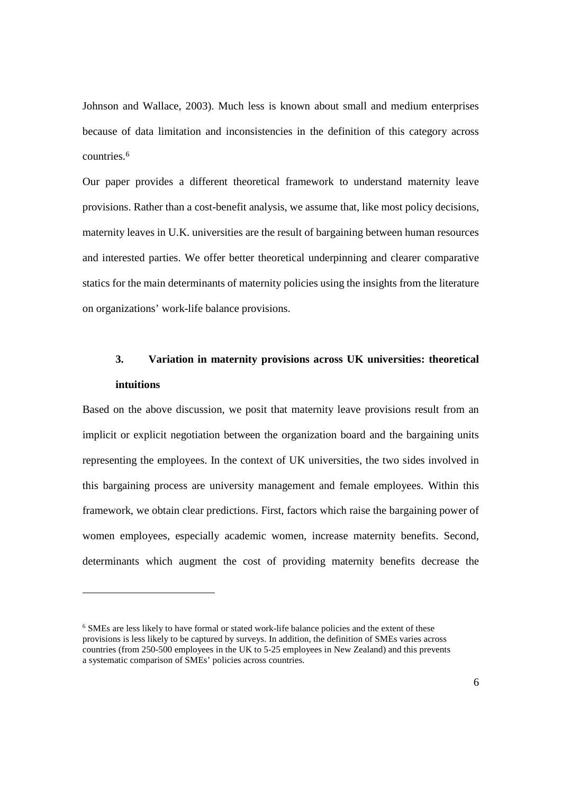Johnson and Wallace, 2003). Much less is known about small and medium enterprises because of data limitation and inconsistencies in the definition of this category across countries.<sup>6</sup>

Our paper provides a different theoretical framework to understand maternity leave provisions. Rather than a cost-benefit analysis, we assume that, like most policy decisions, maternity leaves in U.K. universities are the result of bargaining between human resources and interested parties. We offer better theoretical underpinning and clearer comparative statics for the main determinants of maternity policies using the insights from the literature on organizations' work-life balance provisions.

## **3. Variation in maternity provisions across UK universities: theoretical intuitions**

Based on the above discussion, we posit that maternity leave provisions result from an implicit or explicit negotiation between the organization board and the bargaining units representing the employees. In the context of UK universities, the two sides involved in this bargaining process are university management and female employees. Within this framework, we obtain clear predictions. First, factors which raise the bargaining power of women employees, especially academic women, increase maternity benefits. Second, determinants which augment the cost of providing maternity benefits decrease the

<sup>6</sup> SMEs are less likely to have formal or stated work-life balance policies and the extent of these provisions is less likely to be captured by surveys. In addition, the definition of SMEs varies across countries (from 250-500 employees in the UK to 5-25 employees in New Zealand) and this prevents a systematic comparison of SMEs' policies across countries.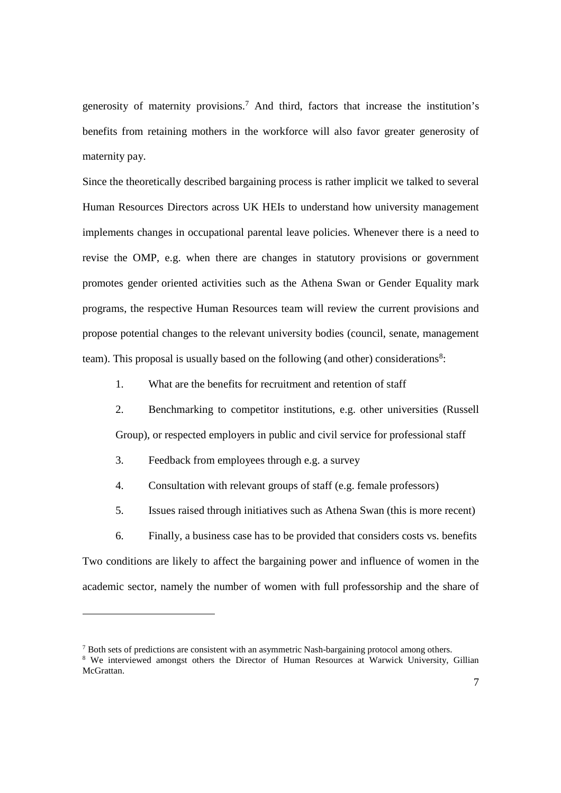generosity of maternity provisions.<sup>7</sup> And third, factors that increase the institution's benefits from retaining mothers in the workforce will also favor greater generosity of maternity pay.

Since the theoretically described bargaining process is rather implicit we talked to several Human Resources Directors across UK HEIs to understand how university management implements changes in occupational parental leave policies. Whenever there is a need to revise the OMP, e.g. when there are changes in statutory provisions or government promotes gender oriented activities such as the Athena Swan or Gender Equality mark programs, the respective Human Resources team will review the current provisions and propose potential changes to the relevant university bodies (council, senate, management team). This proposal is usually based on the following (and other) considerations<sup>8</sup>:

1. What are the benefits for recruitment and retention of staff

2. Benchmarking to competitor institutions, e.g. other universities (Russell Group), or respected employers in public and civil service for professional staff

- 3. Feedback from employees through e.g. a survey
- 4. Consultation with relevant groups of staff (e.g. female professors)

5. Issues raised through initiatives such as Athena Swan (this is more recent)

6. Finally, a business case has to be provided that considers costs vs. benefits Two conditions are likely to affect the bargaining power and influence of women in the academic sector, namely the number of women with full professorship and the share of

<sup>7</sup> Both sets of predictions are consistent with an asymmetric Nash-bargaining protocol among others. <sup>8</sup> We interviewed amongst others the Director of Human Resources at Warwick University, Gillian McGrattan.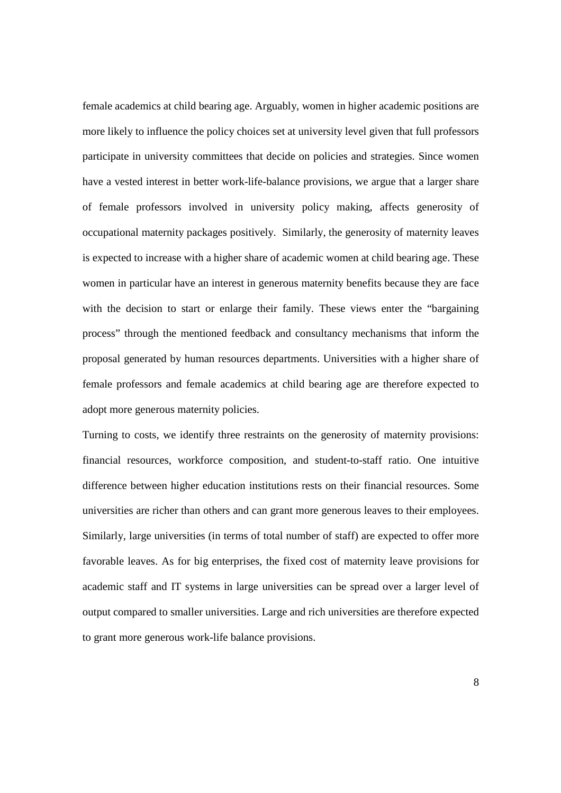female academics at child bearing age. Arguably, women in higher academic positions are more likely to influence the policy choices set at university level given that full professors participate in university committees that decide on policies and strategies. Since women have a vested interest in better work-life-balance provisions, we argue that a larger share of female professors involved in university policy making, affects generosity of occupational maternity packages positively. Similarly, the generosity of maternity leaves is expected to increase with a higher share of academic women at child bearing age. These women in particular have an interest in generous maternity benefits because they are face with the decision to start or enlarge their family. These views enter the "bargaining process" through the mentioned feedback and consultancy mechanisms that inform the proposal generated by human resources departments. Universities with a higher share of female professors and female academics at child bearing age are therefore expected to adopt more generous maternity policies.

Turning to costs, we identify three restraints on the generosity of maternity provisions: financial resources, workforce composition, and student-to-staff ratio. One intuitive difference between higher education institutions rests on their financial resources. Some universities are richer than others and can grant more generous leaves to their employees. Similarly, large universities (in terms of total number of staff) are expected to offer more favorable leaves. As for big enterprises, the fixed cost of maternity leave provisions for academic staff and IT systems in large universities can be spread over a larger level of output compared to smaller universities. Large and rich universities are therefore expected to grant more generous work-life balance provisions.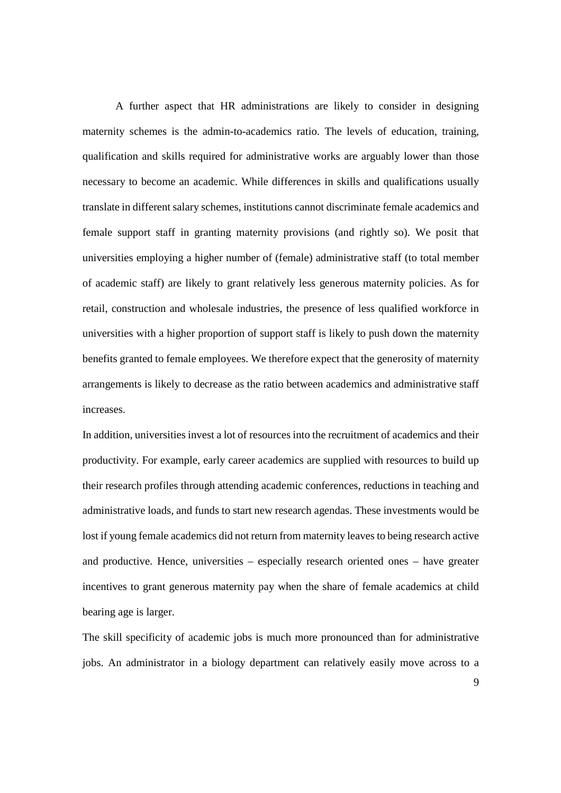A further aspect that HR administrations are likely to consider in designing maternity schemes is the admin-to-academics ratio. The levels of education, training, qualification and skills required for administrative works are arguably lower than those necessary to become an academic. While differences in skills and qualifications usually translate in different salary schemes, institutions cannot discriminate female academics and female support staff in granting maternity provisions (and rightly so). We posit that universities employing a higher number of (female) administrative staff (to total member of academic staff) are likely to grant relatively less generous maternity policies. As for retail, construction and wholesale industries, the presence of less qualified workforce in universities with a higher proportion of support staff is likely to push down the maternity benefits granted to female employees. We therefore expect that the generosity of maternity arrangements is likely to decrease as the ratio between academics and administrative staff increases.

In addition, universities invest a lot of resources into the recruitment of academics and their productivity. For example, early career academics are supplied with resources to build up their research profiles through attending academic conferences, reductions in teaching and administrative loads, and funds to start new research agendas. These investments would be lost if young female academics did not return from maternity leaves to being research active and productive. Hence, universities – especially research oriented ones – have greater incentives to grant generous maternity pay when the share of female academics at child bearing age is larger.

The skill specificity of academic jobs is much more pronounced than for administrative jobs. An administrator in a biology department can relatively easily move across to a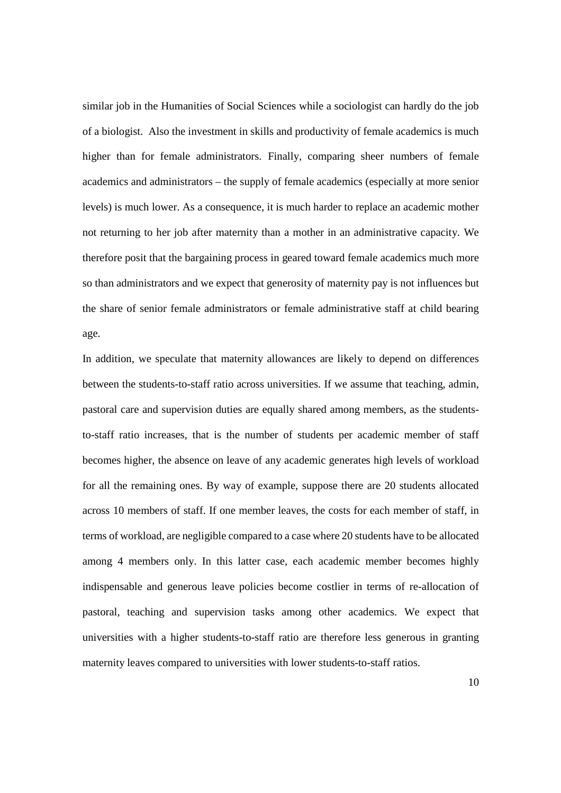similar job in the Humanities of Social Sciences while a sociologist can hardly do the job of a biologist. Also the investment in skills and productivity of female academics is much higher than for female administrators. Finally, comparing sheer numbers of female academics and administrators – the supply of female academics (especially at more senior levels) is much lower. As a consequence, it is much harder to replace an academic mother not returning to her job after maternity than a mother in an administrative capacity. We therefore posit that the bargaining process in geared toward female academics much more so than administrators and we expect that generosity of maternity pay is not influences but the share of senior female administrators or female administrative staff at child bearing age.

In addition, we speculate that maternity allowances are likely to depend on differences between the students-to-staff ratio across universities. If we assume that teaching, admin, pastoral care and supervision duties are equally shared among members, as the studentsto-staff ratio increases, that is the number of students per academic member of staff becomes higher, the absence on leave of any academic generates high levels of workload for all the remaining ones. By way of example, suppose there are 20 students allocated across 10 members of staff. If one member leaves, the costs for each member of staff, in terms of workload, are negligible compared to a case where 20 students have to be allocated among 4 members only. In this latter case, each academic member becomes highly indispensable and generous leave policies become costlier in terms of re-allocation of pastoral, teaching and supervision tasks among other academics. We expect that universities with a higher students-to-staff ratio are therefore less generous in granting maternity leaves compared to universities with lower students-to-staff ratios.

10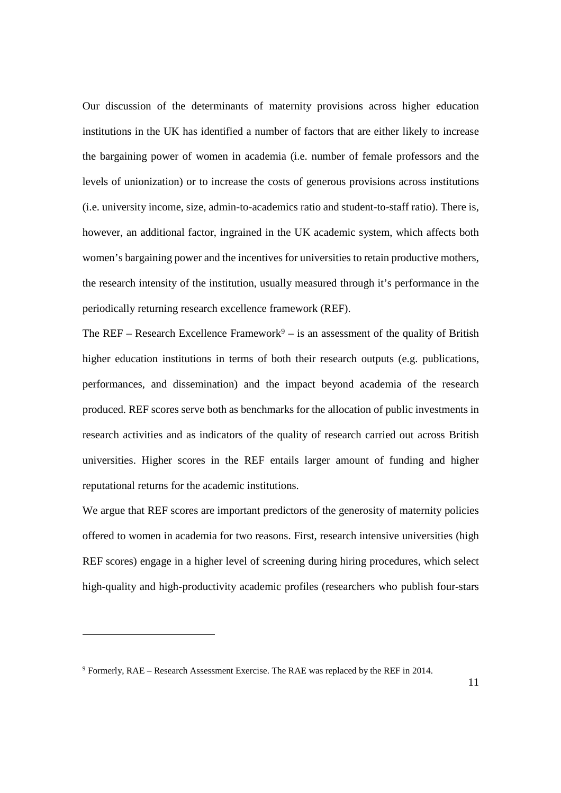Our discussion of the determinants of maternity provisions across higher education institutions in the UK has identified a number of factors that are either likely to increase the bargaining power of women in academia (i.e. number of female professors and the levels of unionization) or to increase the costs of generous provisions across institutions (i.e. university income, size, admin-to-academics ratio and student-to-staff ratio). There is, however, an additional factor, ingrained in the UK academic system, which affects both women's bargaining power and the incentives for universities to retain productive mothers, the research intensity of the institution, usually measured through it's performance in the periodically returning research excellence framework (REF).

The REF – Research Excellence Framework<sup>9</sup> – is an assessment of the quality of British higher education institutions in terms of both their research outputs (e.g. publications, performances, and dissemination) and the impact beyond academia of the research produced. REF scores serve both as benchmarks for the allocation of public investments in research activities and as indicators of the quality of research carried out across British universities. Higher scores in the REF entails larger amount of funding and higher reputational returns for the academic institutions.

We argue that REF scores are important predictors of the generosity of maternity policies offered to women in academia for two reasons. First, research intensive universities (high REF scores) engage in a higher level of screening during hiring procedures, which select high-quality and high-productivity academic profiles (researchers who publish four-stars

<sup>9</sup> Formerly, RAE – Research Assessment Exercise. The RAE was replaced by the REF in 2014.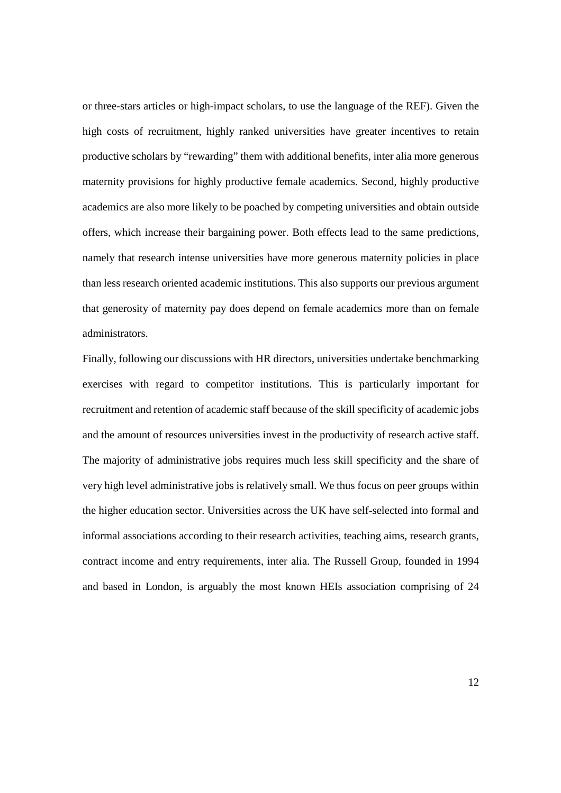or three-stars articles or high-impact scholars, to use the language of the REF). Given the high costs of recruitment, highly ranked universities have greater incentives to retain productive scholars by "rewarding" them with additional benefits, inter alia more generous maternity provisions for highly productive female academics. Second, highly productive academics are also more likely to be poached by competing universities and obtain outside offers, which increase their bargaining power. Both effects lead to the same predictions, namely that research intense universities have more generous maternity policies in place than less research oriented academic institutions. This also supports our previous argument that generosity of maternity pay does depend on female academics more than on female administrators.

Finally, following our discussions with HR directors, universities undertake benchmarking exercises with regard to competitor institutions. This is particularly important for recruitment and retention of academic staff because of the skill specificity of academic jobs and the amount of resources universities invest in the productivity of research active staff. The majority of administrative jobs requires much less skill specificity and the share of very high level administrative jobs is relatively small. We thus focus on peer groups within the higher education sector. Universities across the UK have self-selected into formal and informal associations according to their research activities, teaching aims, research grants, contract income and entry requirements, inter alia. The Russell Group, founded in 1994 and based in London, is arguably the most known HEIs association comprising of 24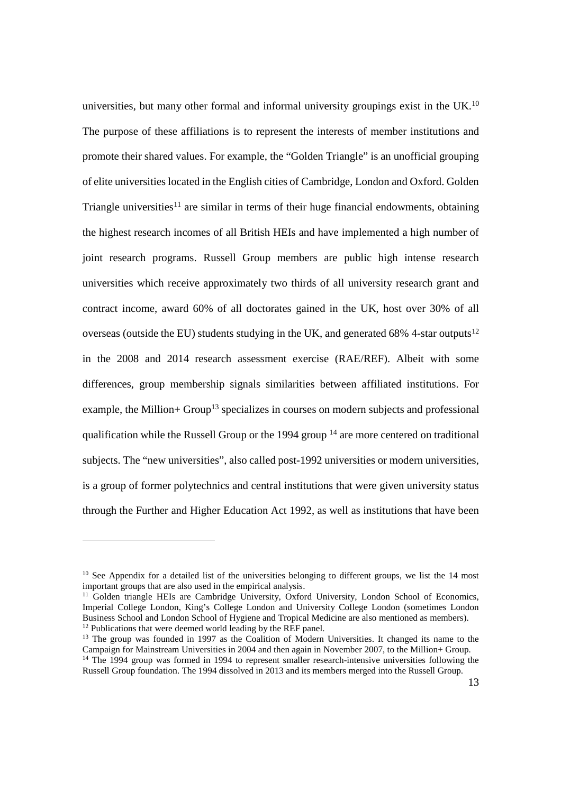universities, but many other formal and informal university groupings exist in the UK.<sup>10</sup> The purpose of these affiliations is to represent the interests of member institutions and promote their shared values. For example, the "Golden Triangle" is an unofficial grouping of elite universities located in the English cities of Cambridge, London and Oxford. Golden Triangle universities<sup>11</sup> are similar in terms of their huge financial endowments, obtaining the highest research incomes of all British HEIs and have implemented a high number of joint research programs. Russell Group members are public high intense research universities which receive approximately two thirds of all university research grant and contract income, award 60% of all doctorates gained in the UK, host over 30% of all overseas (outside the EU) students studying in the UK, and generated 68% 4-star outputs<sup>12</sup> in the 2008 and 2014 research assessment exercise (RAE/REF). Albeit with some differences, group membership signals similarities between affiliated institutions. For example, the Million+ Group<sup>13</sup> specializes in courses on modern subjects and professional qualification while the Russell Group or the 1994 group <sup>14</sup> are more centered on traditional subjects. The "new universities", also called post-1992 universities or modern universities, is a group of former polytechnics and central institutions that were given university status through the Further and Higher Education Act 1992, as well as institutions that have been

 $10$  See Appendix for a detailed list of the universities belonging to different groups, we list the 14 most important groups that are also used in the empirical analysis.

<sup>&</sup>lt;sup>11</sup> Golden triangle HEIs are Cambridge University, Oxford University, London School of Economics, Imperial College London, King's College London and University College London (sometimes London Business School and London School of Hygiene and Tropical Medicine are also mentioned as members). <sup>12</sup> Publications that were deemed world leading by the REF panel.

<sup>&</sup>lt;sup>13</sup> The group was founded in 1997 as the Coalition of Modern Universities. It changed its name to the Campaign for Mainstream Universities in 2004 and then again in November 2007, to the Million+ Group. <sup>14</sup> The 1994 group was formed in 1994 to represent smaller research-intensive universities following the Russell Group foundation. The 1994 dissolved in 2013 and its members merged into the Russell Group.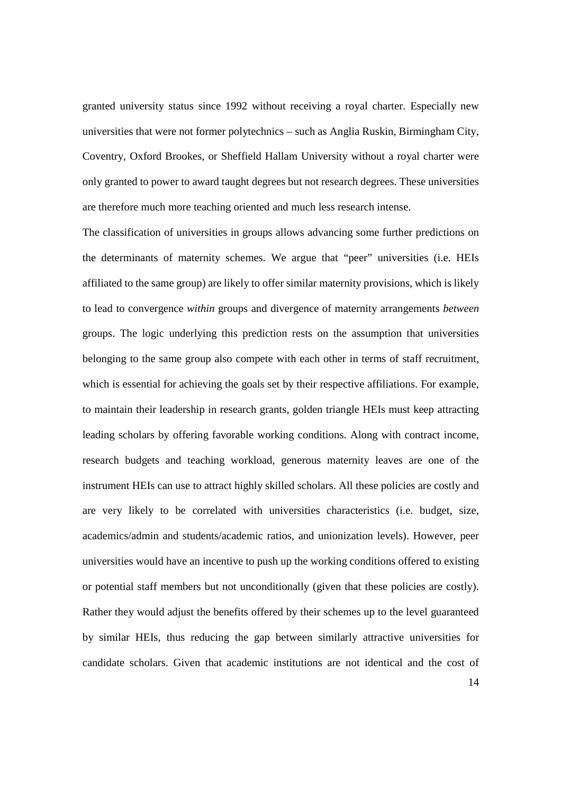granted university status since 1992 without receiving a royal charter. Especially new universities that were not former polytechnics – such as Anglia Ruskin, Birmingham City, Coventry, Oxford Brookes, or Sheffield Hallam University without a royal charter were only granted to power to award taught degrees but not research degrees. These universities are therefore much more teaching oriented and much less research intense.

The classification of universities in groups allows advancing some further predictions on the determinants of maternity schemes. We argue that "peer" universities (i.e. HEIs affiliated to the same group) are likely to offer similar maternity provisions, which is likely to lead to convergence *within* groups and divergence of maternity arrangements *between* groups. The logic underlying this prediction rests on the assumption that universities belonging to the same group also compete with each other in terms of staff recruitment, which is essential for achieving the goals set by their respective affiliations. For example, to maintain their leadership in research grants, golden triangle HEIs must keep attracting leading scholars by offering favorable working conditions. Along with contract income, research budgets and teaching workload, generous maternity leaves are one of the instrument HEIs can use to attract highly skilled scholars. All these policies are costly and are very likely to be correlated with universities characteristics (i.e. budget, size, academics/admin and students/academic ratios, and unionization levels). However, peer universities would have an incentive to push up the working conditions offered to existing or potential staff members but not unconditionally (given that these policies are costly). Rather they would adjust the benefits offered by their schemes up to the level guaranteed by similar HEIs, thus reducing the gap between similarly attractive universities for candidate scholars. Given that academic institutions are not identical and the cost of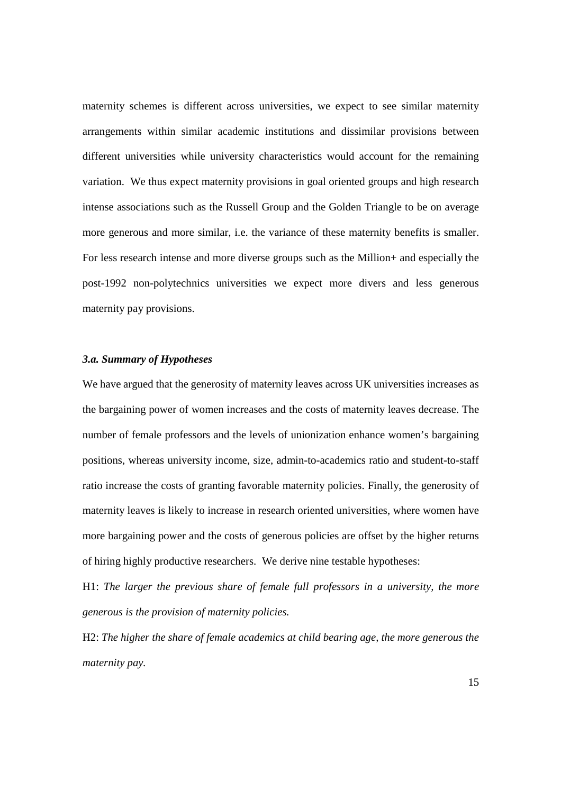maternity schemes is different across universities, we expect to see similar maternity arrangements within similar academic institutions and dissimilar provisions between different universities while university characteristics would account for the remaining variation. We thus expect maternity provisions in goal oriented groups and high research intense associations such as the Russell Group and the Golden Triangle to be on average more generous and more similar, i.e. the variance of these maternity benefits is smaller. For less research intense and more diverse groups such as the Million+ and especially the post-1992 non-polytechnics universities we expect more divers and less generous maternity pay provisions.

#### *3.a. Summary of Hypotheses*

We have argued that the generosity of maternity leaves across UK universities increases as the bargaining power of women increases and the costs of maternity leaves decrease. The number of female professors and the levels of unionization enhance women's bargaining positions, whereas university income, size, admin-to-academics ratio and student-to-staff ratio increase the costs of granting favorable maternity policies. Finally, the generosity of maternity leaves is likely to increase in research oriented universities, where women have more bargaining power and the costs of generous policies are offset by the higher returns of hiring highly productive researchers. We derive nine testable hypotheses:

H1: *The larger the previous share of female full professors in a university, the more generous is the provision of maternity policies.*

H2: *The higher the share of female academics at child bearing age, the more generous the maternity pay.*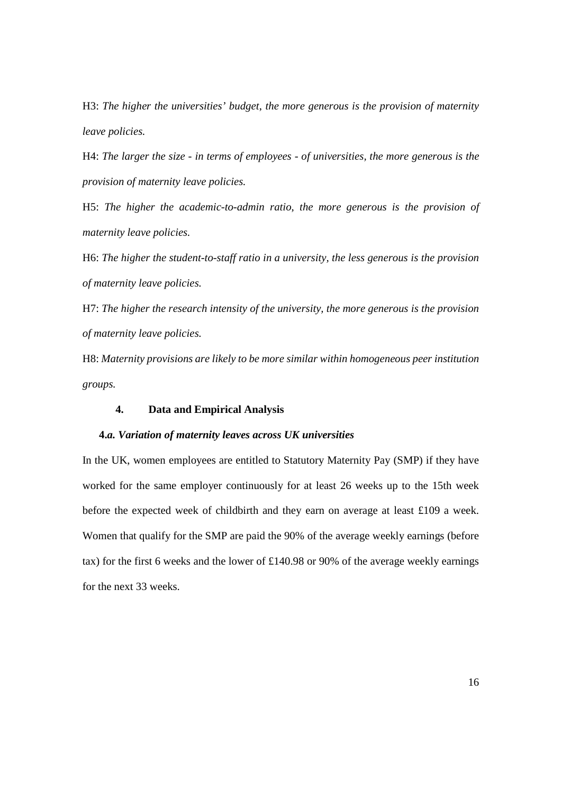H3: *The higher the universities' budget*, *the more generous is the provision of maternity leave policies.*

H4: *The larger the size - in terms of employees - of universities, the more generous is the provision of maternity leave policies.*

H5: *The higher the academic-to-admin ratio*, *the more generous is the provision of maternity leave policies.*

H6: *The higher the student-to-staff ratio in a university, the less generous is the provision of maternity leave policies.*

H7: *The higher the research intensity of the university, the more generous is the provision of maternity leave policies.*

H8: *Maternity provisions are likely to be more similar within homogeneous peer institution groups.*

#### **4. Data and Empirical Analysis**

#### **4.***a. Variation of maternity leaves across UK universities*

In the UK, women employees are entitled to Statutory Maternity Pay (SMP) if they have worked for the same employer continuously for at least 26 weeks up to the 15th week before the expected week of childbirth and they earn on average at least £109 a week. Women that qualify for the SMP are paid the 90% of the average weekly earnings (before tax) for the first 6 weeks and the lower of £140.98 or 90% of the average weekly earnings for the next 33 weeks.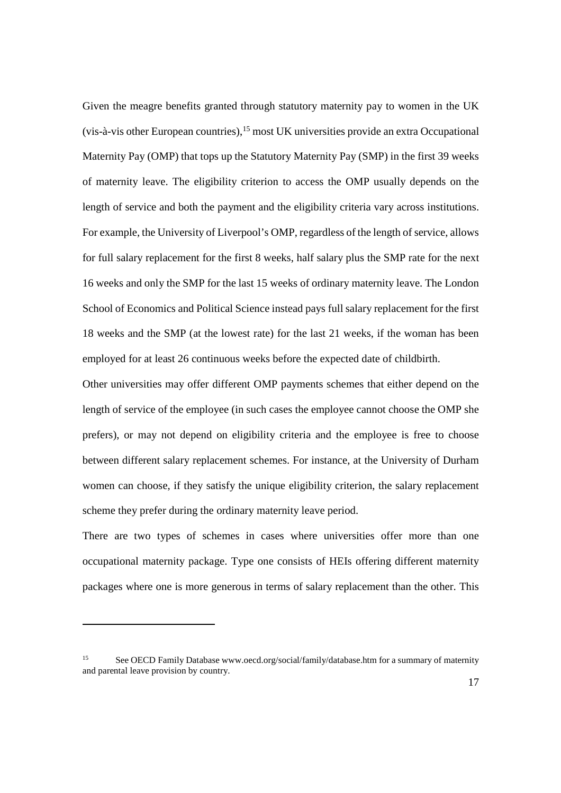Given the meagre benefits granted through statutory maternity pay to women in the UK (vis-à-vis other European countries),<sup>15</sup> most UK universities provide an extra Occupational Maternity Pay (OMP) that tops up the Statutory Maternity Pay (SMP) in the first 39 weeks of maternity leave. The eligibility criterion to access the OMP usually depends on the length of service and both the payment and the eligibility criteria vary across institutions. For example, the University of Liverpool's OMP, regardless of the length of service, allows for full salary replacement for the first 8 weeks, half salary plus the SMP rate for the next 16 weeks and only the SMP for the last 15 weeks of ordinary maternity leave. The London School of Economics and Political Science instead pays full salary replacement for the first 18 weeks and the SMP (at the lowest rate) for the last 21 weeks, if the woman has been employed for at least 26 continuous weeks before the expected date of childbirth.

Other universities may offer different OMP payments schemes that either depend on the length of service of the employee (in such cases the employee cannot choose the OMP she prefers), or may not depend on eligibility criteria and the employee is free to choose between different salary replacement schemes. For instance, at the University of Durham women can choose, if they satisfy the unique eligibility criterion, the salary replacement scheme they prefer during the ordinary maternity leave period.

There are two types of schemes in cases where universities offer more than one occupational maternity package. Type one consists of HEIs offering different maternity packages where one is more generous in terms of salary replacement than the other. This

<sup>15</sup> See OECD Family Database www.oecd.org/social/family/database.htm for a summary of maternity and parental leave provision by country.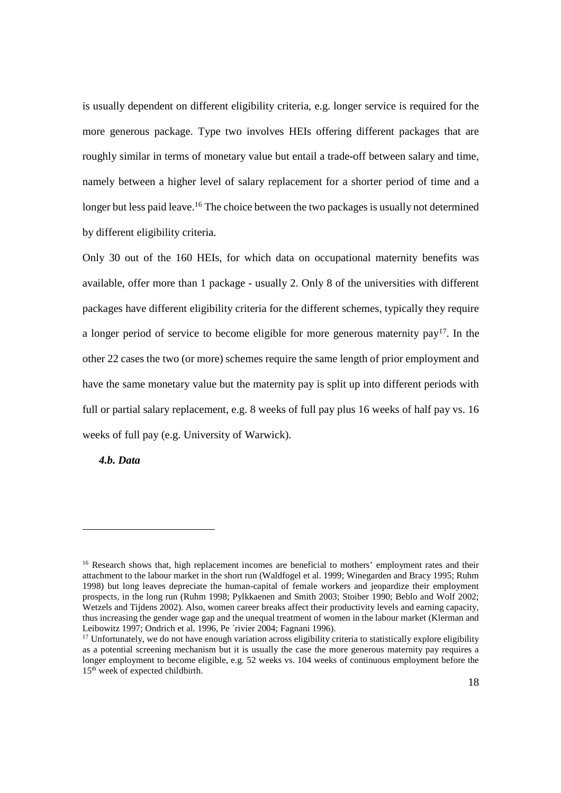is usually dependent on different eligibility criteria, e.g. longer service is required for the more generous package. Type two involves HEIs offering different packages that are roughly similar in terms of monetary value but entail a trade-off between salary and time, namely between a higher level of salary replacement for a shorter period of time and a longer but less paid leave.<sup>16</sup> The choice between the two packages is usually not determined by different eligibility criteria.

Only 30 out of the 160 HEIs, for which data on occupational maternity benefits was available, offer more than 1 package - usually 2. Only 8 of the universities with different packages have different eligibility criteria for the different schemes, typically they require a longer period of service to become eligible for more generous maternity pay<sup>17</sup>. In the other 22 cases the two (or more) schemes require the same length of prior employment and have the same monetary value but the maternity pay is split up into different periods with full or partial salary replacement, e.g. 8 weeks of full pay plus 16 weeks of half pay vs. 16 weeks of full pay (e.g. University of Warwick).

*4.b. Data*

<sup>&</sup>lt;sup>16</sup> Research shows that, high replacement incomes are beneficial to mothers' employment rates and their attachment to the labour market in the short run (Waldfogel et al. 1999; Winegarden and Bracy 1995; Ruhm 1998) but long leaves depreciate the human-capital of female workers and jeopardize their employment prospects, in the long run (Ruhm 1998; Pylkkaenen and Smith 2003; Stoiber 1990; Beblo and Wolf 2002; Wetzels and Tijdens 2002). Also, women career breaks affect their productivity levels and earning capacity, thus increasing the gender wage gap and the unequal treatment of women in the labour market (Klerman and Leibowitz 1997; Ondrich et al. 1996, Pe 'rivier 2004; Fagnani 1996).

 $17$  Unfortunately, we do not have enough variation across eligibility criteria to statistically explore eligibility as a potential screening mechanism but it is usually the case the more generous maternity pay requires a longer employment to become eligible, e.g. 52 weeks vs. 104 weeks of continuous employment before the 15<sup>th</sup> week of expected childbirth.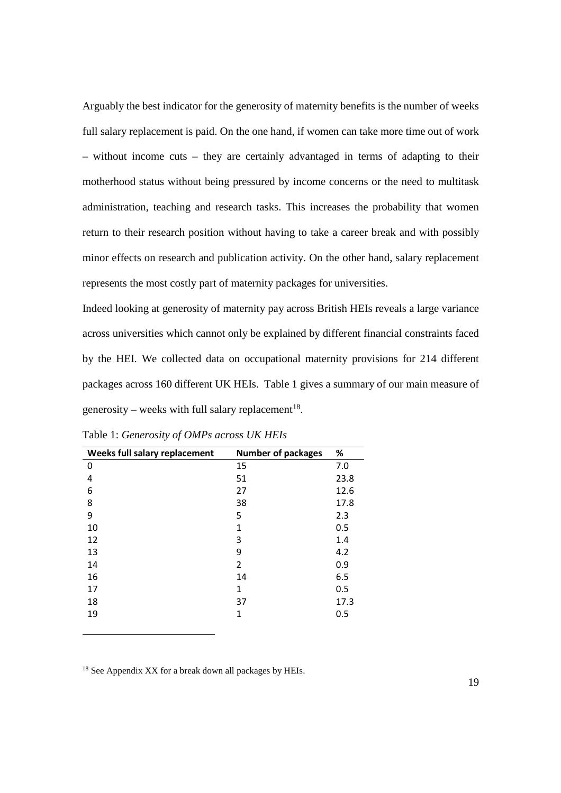Arguably the best indicator for the generosity of maternity benefits is the number of weeks full salary replacement is paid. On the one hand, if women can take more time out of work – without income cuts – they are certainly advantaged in terms of adapting to their motherhood status without being pressured by income concerns or the need to multitask administration, teaching and research tasks. This increases the probability that women return to their research position without having to take a career break and with possibly minor effects on research and publication activity. On the other hand, salary replacement represents the most costly part of maternity packages for universities.

Indeed looking at generosity of maternity pay across British HEIs reveals a large variance across universities which cannot only be explained by different financial constraints faced by the HEI. We collected data on occupational maternity provisions for 214 different packages across 160 different UK HEIs. Table 1 gives a summary of our main measure of generosity – weeks with full salary replacement<sup>18</sup>.

| Weeks full salary replacement | <b>Number of packages</b> | %    |
|-------------------------------|---------------------------|------|
| 0                             | 15                        | 7.0  |
| 4                             | 51                        | 23.8 |
| 6                             | 27                        | 12.6 |
| 8                             | 38                        | 17.8 |
| 9                             | 5                         | 2.3  |
| 10                            | 1                         | 0.5  |
| 12                            | 3                         | 1.4  |
| 13                            | 9                         | 4.2  |
| 14                            | 2                         | 0.9  |
| 16                            | 14                        | 6.5  |
| 17                            | 1                         | 0.5  |
| 18                            | 37                        | 17.3 |
| 19                            | 1                         | 0.5  |
|                               |                           |      |

Table 1: *Generosity of OMPs across UK HEIs*

<sup>18</sup> See Appendix XX for a break down all packages by HEIs.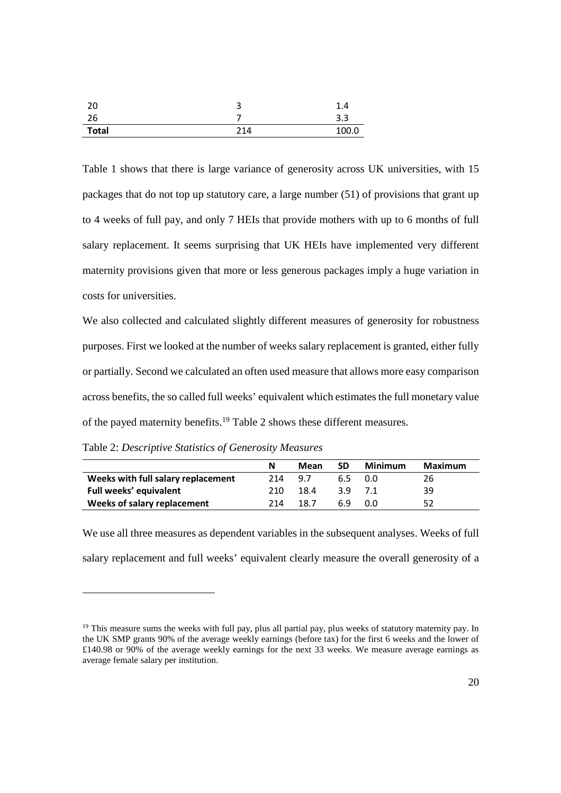| 20           | ت   | 1.4   |
|--------------|-----|-------|
| 26           |     | 3.3   |
| <b>Total</b> | 214 | 100.0 |

Table 1 shows that there is large variance of generosity across UK universities, with 15 packages that do not top up statutory care, a large number (51) of provisions that grant up to 4 weeks of full pay, and only 7 HEIs that provide mothers with up to 6 months of full salary replacement. It seems surprising that UK HEIs have implemented very different maternity provisions given that more or less generous packages imply a huge variation in costs for universities.

We also collected and calculated slightly different measures of generosity for robustness purposes. First we looked at the number of weeks salary replacement is granted, either fully or partially. Second we calculated an often used measure that allows more easy comparison across benefits, the so called full weeks' equivalent which estimates the full monetary value of the payed maternity benefits.<sup>19</sup> Table 2 shows these different measures.

Table 2: *Descriptive Statistics of Generosity Measures*

|                                    | N    | Mean | <b>SD</b> | Minimum | Maximum |
|------------------------------------|------|------|-----------|---------|---------|
| Weeks with full salary replacement | 214  | 9.7  | 6.5       | . Q.O   | 26      |
| Full weeks' equivalent             | 210  | 18.4 | 39        | 7.1     | 39      |
| Weeks of salary replacement        | 214. | 18.7 | 69        | n n     | 52      |

We use all three measures as dependent variables in the subsequent analyses. Weeks of full salary replacement and full weeks' equivalent clearly measure the overall generosity of a

<sup>&</sup>lt;sup>19</sup> This measure sums the weeks with full pay, plus all partial pay, plus weeks of statutory maternity pay. In the UK SMP grants 90% of the average weekly earnings (before tax) for the first 6 weeks and the lower of £140.98 or 90% of the average weekly earnings for the next 33 weeks. We measure average earnings as average female salary per institution.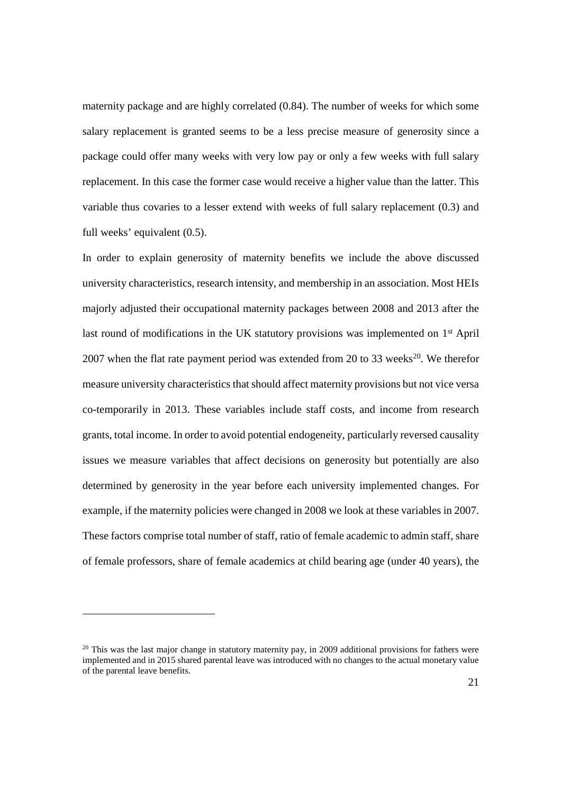maternity package and are highly correlated (0.84). The number of weeks for which some salary replacement is granted seems to be a less precise measure of generosity since a package could offer many weeks with very low pay or only a few weeks with full salary replacement. In this case the former case would receive a higher value than the latter. This variable thus covaries to a lesser extend with weeks of full salary replacement (0.3) and full weeks' equivalent (0.5).

In order to explain generosity of maternity benefits we include the above discussed university characteristics, research intensity, and membership in an association. Most HEIs majorly adjusted their occupational maternity packages between 2008 and 2013 after the last round of modifications in the UK statutory provisions was implemented on 1<sup>st</sup> April 2007 when the flat rate payment period was extended from 20 to 33 weeks<sup>20</sup>. We therefor measure university characteristics that should affect maternity provisions but not vice versa co-temporarily in 2013. These variables include staff costs, and income from research grants, total income. In order to avoid potential endogeneity, particularly reversed causality issues we measure variables that affect decisions on generosity but potentially are also determined by generosity in the year before each university implemented changes. For example, if the maternity policies were changed in 2008 we look at these variables in 2007. These factors comprise total number of staff, ratio of female academic to admin staff, share of female professors, share of female academics at child bearing age (under 40 years), the

<sup>&</sup>lt;sup>20</sup> This was the last major change in statutory maternity pay, in 2009 additional provisions for fathers were implemented and in 2015 shared parental leave was introduced with no changes to the actual monetary value of the parental leave benefits.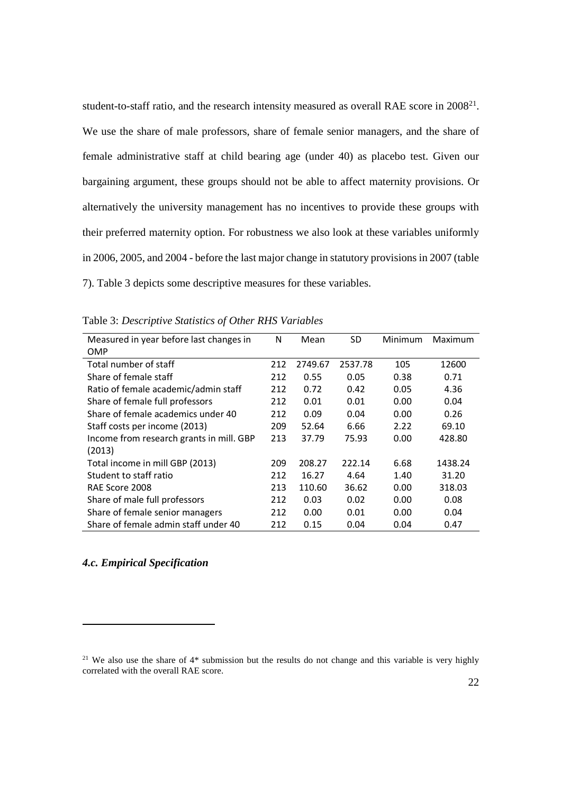student-to-staff ratio, and the research intensity measured as overall RAE score in 2008<sup>21</sup>. We use the share of male professors, share of female senior managers, and the share of female administrative staff at child bearing age (under 40) as placebo test. Given our bargaining argument, these groups should not be able to affect maternity provisions. Or alternatively the university management has no incentives to provide these groups with their preferred maternity option. For robustness we also look at these variables uniformly in 2006, 2005, and 2004 - before the last major change in statutory provisions in 2007 (table 7). Table 3 depicts some descriptive measures for these variables.

| Measured in year before last changes in  | N   | Mean    | <b>SD</b> | Minimum | Maximum |
|------------------------------------------|-----|---------|-----------|---------|---------|
| OMP                                      |     |         |           |         |         |
| Total number of staff                    | 212 | 2749.67 | 2537.78   | 105     | 12600   |
| Share of female staff                    | 212 | 0.55    | 0.05      | 0.38    | 0.71    |
| Ratio of female academic/admin staff     | 212 | 0.72    | 0.42      | 0.05    | 4.36    |
| Share of female full professors          | 212 | 0.01    | 0.01      | 0.00    | 0.04    |
| Share of female academics under 40       | 212 | 0.09    | 0.04      | 0.00    | 0.26    |
| Staff costs per income (2013)            | 209 | 52.64   | 6.66      | 2.22    | 69.10   |
| Income from research grants in mill. GBP | 213 | 37.79   | 75.93     | 0.00    | 428.80  |
| (2013)                                   |     |         |           |         |         |
| Total income in mill GBP (2013)          | 209 | 208.27  | 222.14    | 6.68    | 1438.24 |
| Student to staff ratio                   | 212 | 16.27   | 4.64      | 1.40    | 31.20   |
| RAE Score 2008                           | 213 | 110.60  | 36.62     | 0.00    | 318.03  |
| Share of male full professors            | 212 | 0.03    | 0.02      | 0.00    | 0.08    |
| Share of female senior managers          | 212 | 0.00    | 0.01      | 0.00    | 0.04    |
| Share of female admin staff under 40     | 212 | 0.15    | 0.04      | 0.04    | 0.47    |

Table 3: *Descriptive Statistics of Other RHS Variables*

#### *4.c. Empirical Specification*

<sup>&</sup>lt;sup>21</sup> We also use the share of  $4*$  submission but the results do not change and this variable is very highly correlated with the overall RAE score.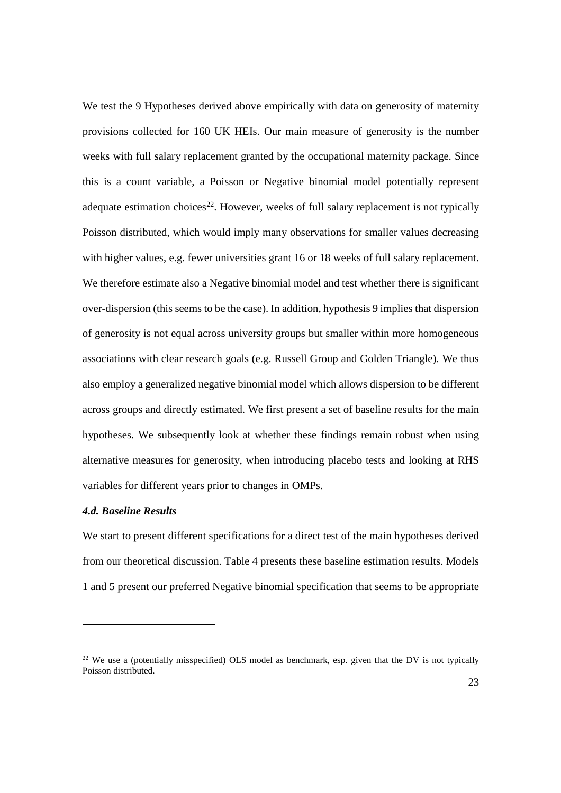We test the 9 Hypotheses derived above empirically with data on generosity of maternity provisions collected for 160 UK HEIs. Our main measure of generosity is the number weeks with full salary replacement granted by the occupational maternity package. Since this is a count variable, a Poisson or Negative binomial model potentially represent adequate estimation choices<sup>22</sup>. However, weeks of full salary replacement is not typically Poisson distributed, which would imply many observations for smaller values decreasing with higher values, e.g. fewer universities grant 16 or 18 weeks of full salary replacement. We therefore estimate also a Negative binomial model and test whether there is significant over-dispersion (this seems to be the case). In addition, hypothesis 9 implies that dispersion of generosity is not equal across university groups but smaller within more homogeneous associations with clear research goals (e.g. Russell Group and Golden Triangle). We thus also employ a generalized negative binomial model which allows dispersion to be different across groups and directly estimated. We first present a set of baseline results for the main hypotheses. We subsequently look at whether these findings remain robust when using alternative measures for generosity, when introducing placebo tests and looking at RHS variables for different years prior to changes in OMPs.

#### *4.d. Baseline Results*

We start to present different specifications for a direct test of the main hypotheses derived from our theoretical discussion. Table 4 presents these baseline estimation results. Models 1 and 5 present our preferred Negative binomial specification that seems to be appropriate

<sup>&</sup>lt;sup>22</sup> We use a (potentially misspecified) OLS model as benchmark, esp. given that the DV is not typically Poisson distributed.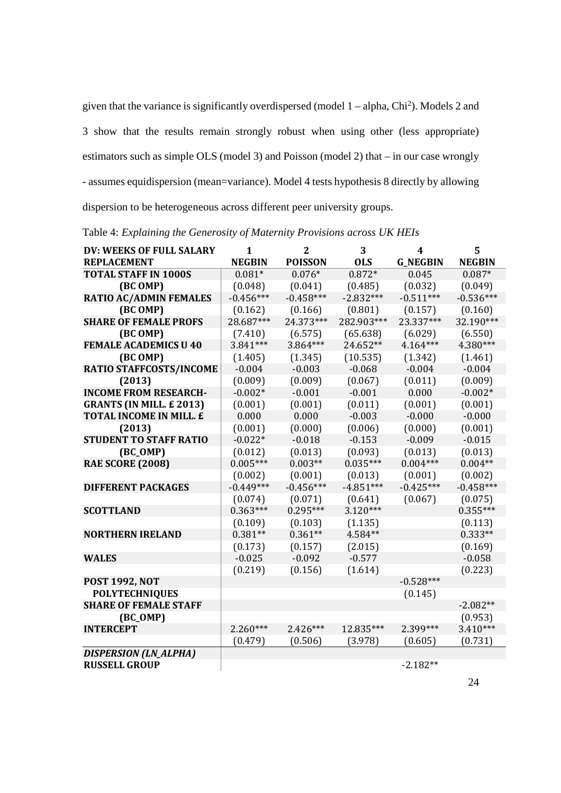given that the variance is significantly overdispersed (model 1 – alpha, Chi<sup>2</sup> ). Models 2 and 3 show that the results remain strongly robust when using other (less appropriate) estimators such as simple OLS (model 3) and Poisson (model 2) that – in our case wrongly - assumes equidispersion (mean=variance). Model 4 tests hypothesis 8 directly by allowing dispersion to be heterogeneous across different peer university groups.

| DV: WEEKS OF FULL SALARY       | $\mathbf{1}$  | $\mathbf{2}$   | 3           | 4               | 5             |
|--------------------------------|---------------|----------------|-------------|-----------------|---------------|
| <b>REPLACEMENT</b>             | <b>NEGBIN</b> | <b>POISSON</b> | <b>OLS</b>  | <b>G_NEGBIN</b> | <b>NEGBIN</b> |
| <b>TOTAL STAFF IN 1000S</b>    | $0.081*$      | $0.076*$       | $0.872*$    | 0.045           | $0.087*$      |
| (BC OMP)                       | (0.048)       | (0.041)        | (0.485)     | (0.032)         | (0.049)       |
| <b>RATIO AC/ADMIN FEMALES</b>  | $-0.456***$   | $-0.458***$    | $-2.832***$ | $-0.511***$     | $-0.536***$   |
| (BC OMP)                       | (0.162)       | (0.166)        | (0.801)     | (0.157)         | (0.160)       |
| <b>SHARE OF FEMALE PROFS</b>   | 28.687***     | 24.373***      | 282.903***  | 23.337***       | 32.190***     |
| (BC OMP)                       | (7.410)       | (6.575)        | (65.638)    | (6.029)         | (6.550)       |
| <b>FEMALE ACADEMICS U 40</b>   | 3.841***      | 3.864***       | 24.652**    | 4.164***        | 4.380***      |
| (BC OMP)                       | (1.405)       | (1.345)        | (10.535)    | (1.342)         | (1.461)       |
| RATIO STAFFCOSTS/INCOME        | $-0.004$      | $-0.003$       | $-0.068$    | $-0.004$        | $-0.004$      |
| (2013)                         | (0.009)       | (0.009)        | (0.067)     | (0.011)         | (0.009)       |
| <b>INCOME FROM RESEARCH-</b>   | $-0.002*$     | $-0.001$       | $-0.001$    | 0.000           | $-0.002*$     |
| <b>GRANTS (IN MILL. £2013)</b> | (0.001)       | (0.001)        | (0.011)     | (0.001)         | (0.001)       |
| TOTAL INCOME IN MILL. £        | 0.000         | 0.000          | $-0.003$    | $-0.000$        | $-0.000$      |
| (2013)                         | (0.001)       | (0.000)        | (0.006)     | (0.000)         | (0.001)       |
| <b>STUDENT TO STAFF RATIO</b>  | $-0.022*$     | $-0.018$       | $-0.153$    | $-0.009$        | $-0.015$      |
| $(BC_OMP)$                     | (0.012)       | (0.013)        | (0.093)     | (0.013)         | (0.013)       |
| <b>RAE SCORE (2008)</b>        | $0.005***$    | $0.003**$      | $0.035***$  | $0.004***$      | $0.004**$     |
|                                | (0.002)       | (0.001)        | (0.013)     | (0.001)         | (0.002)       |
| <b>DIFFERENT PACKAGES</b>      | $-0.449***$   | $-0.456***$    | $-4.851***$ | $-0.425***$     | $-0.458***$   |
|                                | (0.074)       | (0.071)        | (0.641)     | (0.067)         | (0.075)       |
| <b>SCOTTLAND</b>               | $0.363***$    | $0.295***$     | $3.120***$  |                 | $0.355***$    |
|                                | (0.109)       | (0.103)        | (1.135)     |                 | (0.113)       |
| <b>NORTHERN IRELAND</b>        | $0.381**$     | $0.361**$      | 4.584**     |                 | $0.333**$     |
|                                | (0.173)       | (0.157)        | (2.015)     |                 | (0.169)       |
| WALES                          | $-0.025$      | $-0.092$       | $-0.577$    |                 | $-0.058$      |
|                                | (0.219)       | (0.156)        | (1.614)     |                 | (0.223)       |
| <b>POST 1992, NOT</b>          |               |                |             | $-0.528***$     |               |
| <b>POLYTECHNIQUES</b>          |               |                |             | (0.145)         |               |
| <b>SHARE OF FEMALE STAFF</b>   |               |                |             |                 | $-2.082**$    |
| $(BC_OMP)$                     |               |                |             |                 | (0.953)       |
| <b>INTERCEPT</b>               | $2.260***$    | $2.426***$     | 12.835***   | 2.399***        | $3.410***$    |
|                                | (0.479)       | (0.506)        | (3.978)     | (0.605)         | (0.731)       |
| DISPERSION (LN_ALPHA)          |               |                |             |                 |               |
| <b>RUSSELL GROUP</b>           |               |                |             | $-2.182**$      |               |

Table 4: *Explaining the Generosity of Maternity Provisions across UK HEIs*

24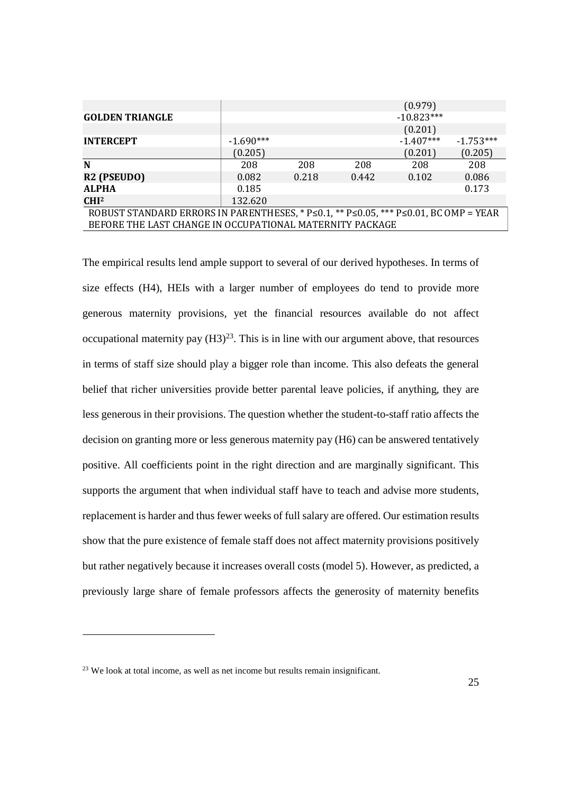|                                                                                                           |             |       |       | (0.979)      |             |
|-----------------------------------------------------------------------------------------------------------|-------------|-------|-------|--------------|-------------|
| <b>GOLDEN TRIANGLE</b>                                                                                    |             |       |       | $-10.823***$ |             |
|                                                                                                           |             |       |       | (0.201)      |             |
| <b>INTERCEPT</b>                                                                                          | $-1.690***$ |       |       | $-1.407***$  | $-1.753***$ |
|                                                                                                           | (0.205)     |       |       | (0.201)      | (0.205)     |
| N                                                                                                         | 208         | 208   | 208   | 208          | 208         |
| R <sub>2</sub> (PSEUDO)                                                                                   | 0.082       | 0.218 | 0.442 | 0.102        | 0.086       |
| <b>ALPHA</b>                                                                                              | 0.185       |       |       |              | 0.173       |
| CHI <sup>2</sup>                                                                                          | 132.620     |       |       |              |             |
| ROBUST STANDARD ERRORS IN PARENTHESES, * $P \le 0.1$ , ** $P \le 0.05$ , *** $P \le 0.01$ , BC OMP = YEAR |             |       |       |              |             |
| BEFORE THE LAST CHANGE IN OCCUPATIONAL MATERNITY PACKAGE                                                  |             |       |       |              |             |

The empirical results lend ample support to several of our derived hypotheses. In terms of size effects (H4), HEIs with a larger number of employees do tend to provide more generous maternity provisions, yet the financial resources available do not affect occupational maternity pay  $(H3)^{23}$ . This is in line with our argument above, that resources in terms of staff size should play a bigger role than income. This also defeats the general belief that richer universities provide better parental leave policies, if anything, they are less generous in their provisions. The question whether the student-to-staff ratio affects the decision on granting more or less generous maternity pay (H6) can be answered tentatively positive. All coefficients point in the right direction and are marginally significant. This supports the argument that when individual staff have to teach and advise more students, replacement is harder and thus fewer weeks of full salary are offered. Our estimation results show that the pure existence of female staff does not affect maternity provisions positively but rather negatively because it increases overall costs (model 5). However, as predicted, a previously large share of female professors affects the generosity of maternity benefits

<sup>&</sup>lt;sup>23</sup> We look at total income, as well as net income but results remain insignificant.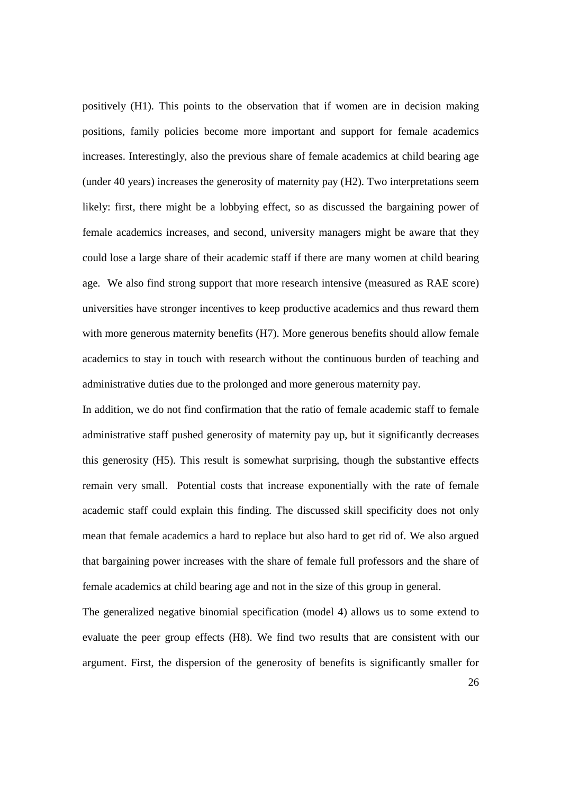positively (H1). This points to the observation that if women are in decision making positions, family policies become more important and support for female academics increases. Interestingly, also the previous share of female academics at child bearing age (under 40 years) increases the generosity of maternity pay (H2). Two interpretations seem likely: first, there might be a lobbying effect, so as discussed the bargaining power of female academics increases, and second, university managers might be aware that they could lose a large share of their academic staff if there are many women at child bearing age. We also find strong support that more research intensive (measured as RAE score) universities have stronger incentives to keep productive academics and thus reward them with more generous maternity benefits (H7). More generous benefits should allow female academics to stay in touch with research without the continuous burden of teaching and administrative duties due to the prolonged and more generous maternity pay.

In addition, we do not find confirmation that the ratio of female academic staff to female administrative staff pushed generosity of maternity pay up, but it significantly decreases this generosity (H5). This result is somewhat surprising, though the substantive effects remain very small. Potential costs that increase exponentially with the rate of female academic staff could explain this finding. The discussed skill specificity does not only mean that female academics a hard to replace but also hard to get rid of. We also argued that bargaining power increases with the share of female full professors and the share of female academics at child bearing age and not in the size of this group in general.

The generalized negative binomial specification (model 4) allows us to some extend to evaluate the peer group effects (H8). We find two results that are consistent with our argument. First, the dispersion of the generosity of benefits is significantly smaller for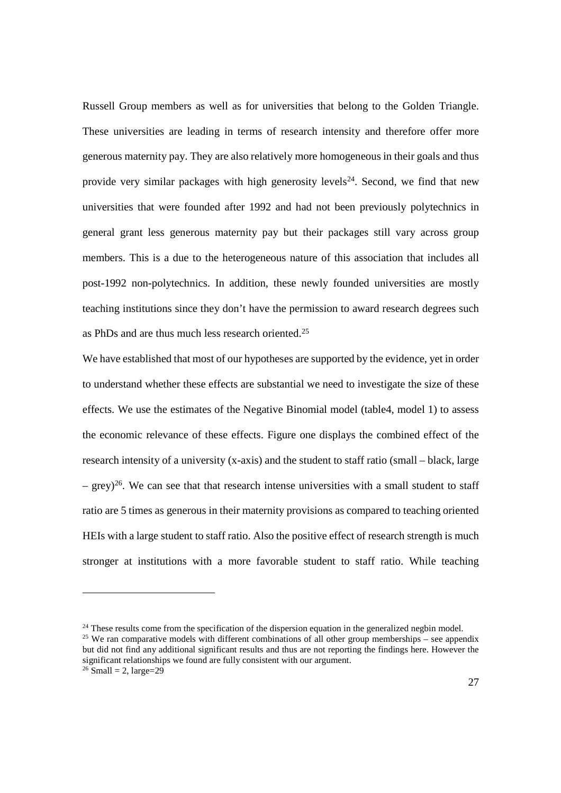Russell Group members as well as for universities that belong to the Golden Triangle. These universities are leading in terms of research intensity and therefore offer more generous maternity pay. They are also relatively more homogeneous in their goals and thus provide very similar packages with high generosity levels<sup>24</sup>. Second, we find that new universities that were founded after 1992 and had not been previously polytechnics in general grant less generous maternity pay but their packages still vary across group members. This is a due to the heterogeneous nature of this association that includes all post-1992 non-polytechnics. In addition, these newly founded universities are mostly teaching institutions since they don't have the permission to award research degrees such as PhDs and are thus much less research oriented.<sup>25</sup>

We have established that most of our hypotheses are supported by the evidence, yet in order to understand whether these effects are substantial we need to investigate the size of these effects. We use the estimates of the Negative Binomial model (table4, model 1) to assess the economic relevance of these effects. Figure one displays the combined effect of the research intensity of a university (x-axis) and the student to staff ratio (small – black, large – grey)<sup>26</sup>. We can see that that research intense universities with a small student to staff ratio are 5 times as generous in their maternity provisions as compared to teaching oriented HEIs with a large student to staff ratio. Also the positive effect of research strength is much stronger at institutions with a more favorable student to staff ratio. While teaching

<sup>&</sup>lt;sup>24</sup> These results come from the specification of the dispersion equation in the generalized negbin model. <sup>25</sup> We ran comparative models with different combinations of all other group memberships – see appendix but did not find any additional significant results and thus are not reporting the findings here. However the significant relationships we found are fully consistent with our argument.

 $26$  Small = 2, large= $29$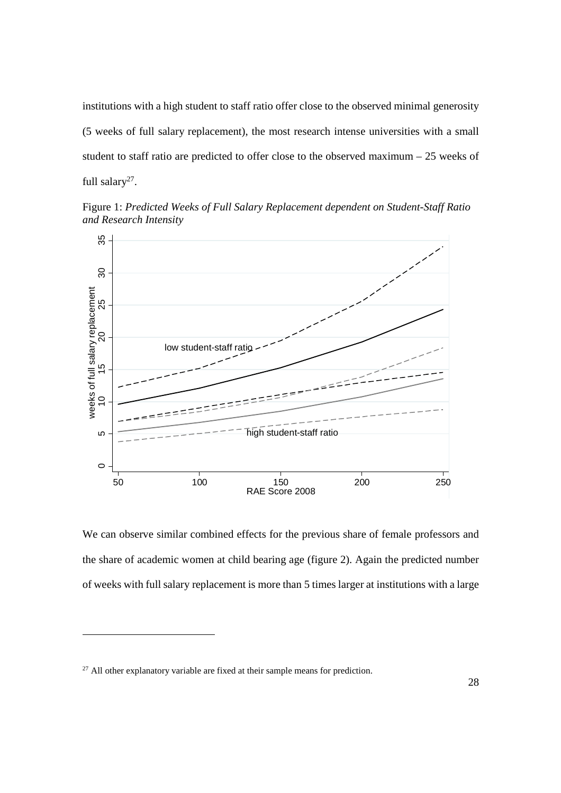institutions with a high student to staff ratio offer close to the observed minimal generosity (5 weeks of full salary replacement), the most research intense universities with a small student to staff ratio are predicted to offer close to the observed maximum – 25 weeks of full salary<sup>27</sup>.

Figure 1: *Predicted Weeks of Full Salary Replacement dependent on Student-Staff Ratio and Research Intensity*



We can observe similar combined effects for the previous share of female professors and the share of academic women at child bearing age (figure 2). Again the predicted number of weeks with full salary replacement is more than 5 times larger at institutions with a large

 $27$  All other explanatory variable are fixed at their sample means for prediction.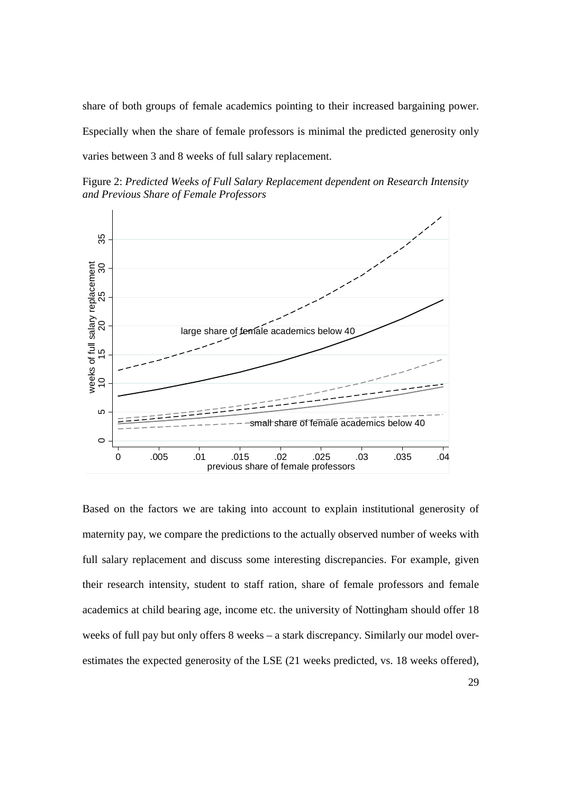share of both groups of female academics pointing to their increased bargaining power. Especially when the share of female professors is minimal the predicted generosity only varies between 3 and 8 weeks of full salary replacement.

Figure 2: *Predicted Weeks of Full Salary Replacement dependent on Research Intensity and Previous Share of Female Professors*



Based on the factors we are taking into account to explain institutional generosity of maternity pay, we compare the predictions to the actually observed number of weeks with full salary replacement and discuss some interesting discrepancies. For example, given their research intensity, student to staff ration, share of female professors and female academics at child bearing age, income etc. the university of Nottingham should offer 18 weeks of full pay but only offers 8 weeks – a stark discrepancy. Similarly our model overestimates the expected generosity of the LSE (21 weeks predicted, vs. 18 weeks offered),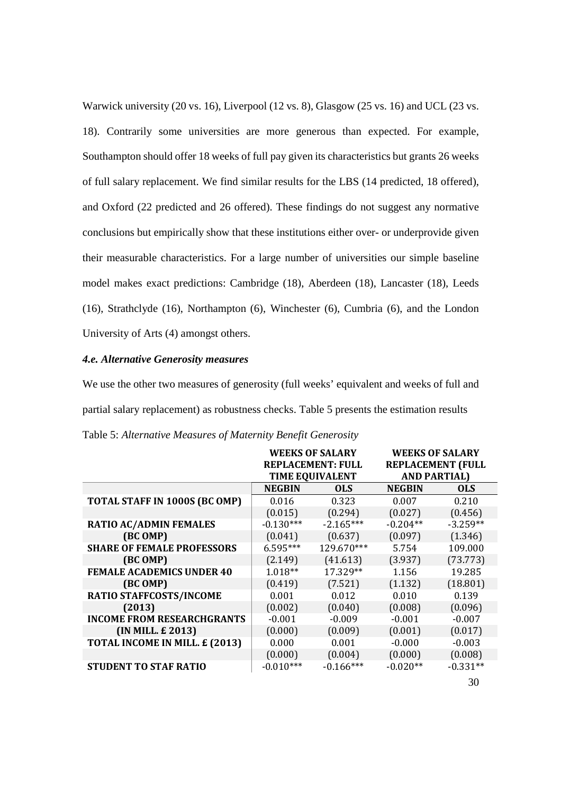Warwick university (20 vs. 16), Liverpool (12 vs. 8), Glasgow (25 vs. 16) and UCL (23 vs. 18). Contrarily some universities are more generous than expected. For example, Southampton should offer 18 weeks of full pay given its characteristics but grants 26 weeks of full salary replacement. We find similar results for the LBS (14 predicted, 18 offered), and Oxford (22 predicted and 26 offered). These findings do not suggest any normative conclusions but empirically show that these institutions either over- or underprovide given their measurable characteristics. For a large number of universities our simple baseline model makes exact predictions: Cambridge (18), Aberdeen (18), Lancaster (18), Leeds (16), Strathclyde (16), Northampton (6), Winchester (6), Cumbria (6), and the London University of Arts (4) amongst others.

#### *4.e. Alternative Generosity measures*

We use the other two measures of generosity (full weeks' equivalent and weeks of full and partial salary replacement) as robustness checks. Table 5 presents the estimation results Table 5: *Alternative Measures of Maternity Benefit Generosity*

|                                   | <b>WEEKS OF SALARY</b> |                          |                          | <b>WEEKS OF SALARY</b> |
|-----------------------------------|------------------------|--------------------------|--------------------------|------------------------|
|                                   |                        | <b>REPLACEMENT: FULL</b> | <b>REPLACEMENT (FULL</b> |                        |
|                                   |                        | <b>TIME EQUIVALENT</b>   | <b>AND PARTIAL)</b>      |                        |
|                                   | <b>NEGBIN</b>          | <b>OLS</b>               | <b>NEGBIN</b>            | <b>OLS</b>             |
| TOTAL STAFF IN 1000S (BC OMP)     | 0.016                  | 0.323                    | 0.007                    | 0.210                  |
|                                   | (0.015)                | (0.294)                  | (0.027)                  | (0.456)                |
| <b>RATIO AC/ADMIN FEMALES</b>     | $-0.130***$            | $-2.165***$              | $-0.204**$               | $-3.259**$             |
| (BC OMP)                          | (0.041)                | (0.637)                  | (0.097)                  | (1.346)                |
| <b>SHARE OF FEMALE PROFESSORS</b> | $6.595***$             | 129.670***               | 5.754                    | 109.000                |
| (BC OMP)                          | (2.149)                | (41.613)                 | (3.937)                  | (73.773)               |
| <b>FEMALE ACADEMICS UNDER 40</b>  | $1.018**$              | 17.329**                 | 1.156                    | 19.285                 |
| (BC OMP)                          | (0.419)                | (7.521)                  | (1.132)                  | (18.801)               |
| RATIO STAFFCOSTS/INCOME           | 0.001                  | 0.012                    | 0.010                    | 0.139                  |
| (2013)                            | (0.002)                | (0.040)                  | (0.008)                  | (0.096)                |
| <b>INCOME FROM RESEARCHGRANTS</b> | $-0.001$               | $-0.009$                 | $-0.001$                 | $-0.007$               |
| (IN MILL. £ 2013)                 | (0.000)                | (0.009)                  | (0.001)                  | (0.017)                |
| TOTAL INCOME IN MILL. £ (2013)    | 0.000                  | 0.001                    | $-0.000$                 | $-0.003$               |
|                                   | (0.000)                | (0.004)                  | (0.000)                  | (0.008)                |
| <b>STUDENT TO STAF RATIO</b>      | $-0.010***$            | $-0.166***$              | $-0.020**$               | $-0.331**$             |
|                                   |                        |                          |                          |                        |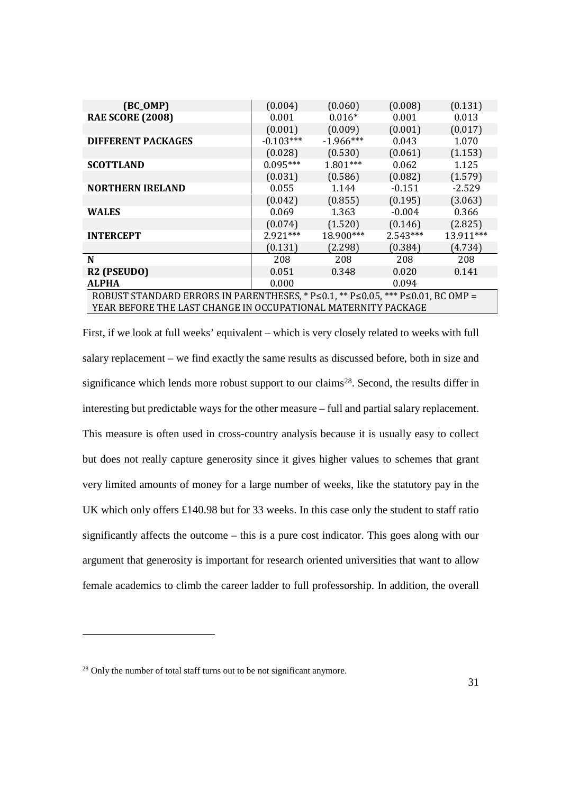| $(BC_OMP)$                                                                                           | (0.004)     | (0.060)     | (0.008)    | (0.131)   |  |
|------------------------------------------------------------------------------------------------------|-------------|-------------|------------|-----------|--|
| <b>RAE SCORE (2008)</b>                                                                              | 0.001       | $0.016*$    | 0.001      | 0.013     |  |
|                                                                                                      | (0.001)     | (0.009)     | (0.001)    | (0.017)   |  |
| <b>DIFFERENT PACKAGES</b>                                                                            | $-0.103***$ | $-1.966***$ | 0.043      | 1.070     |  |
|                                                                                                      | (0.028)     | (0.530)     | (0.061)    | (1.153)   |  |
| <b>SCOTTLAND</b>                                                                                     | $0.095***$  | $1.801***$  | 0.062      | 1.125     |  |
|                                                                                                      | (0.031)     | (0.586)     | (0.082)    | (1.579)   |  |
| <b>NORTHERN IRELAND</b>                                                                              | 0.055       | 1.144       | $-0.151$   | $-2.529$  |  |
|                                                                                                      | (0.042)     | (0.855)     | (0.195)    | (3.063)   |  |
| <b>WALES</b>                                                                                         | 0.069       | 1.363       | $-0.004$   | 0.366     |  |
|                                                                                                      | (0.074)     | (1.520)     | (0.146)    | (2.825)   |  |
| <b>INTERCEPT</b>                                                                                     | $2.921***$  | 18.900***   | $2.543***$ | 13.911*** |  |
|                                                                                                      | (0.131)     | (2.298)     | (0.384)    | (4.734)   |  |
| N                                                                                                    | 208         | 208         | 208        | 208       |  |
| R <sub>2</sub> (PSEUDO)                                                                              | 0.051       | 0.348       | 0.020      | 0.141     |  |
| <b>ALPHA</b>                                                                                         | 0.000       |             | 0.094      |           |  |
| ROBUST STANDARD ERRORS IN PARENTHESES, * $P \le 0.1$ , ** $P \le 0.05$ , *** $P \le 0.01$ , BC OMP = |             |             |            |           |  |
| YEAR BEFORE THE LAST CHANGE IN OCCUPATIONAL MATERNITY PACKAGE                                        |             |             |            |           |  |

First, if we look at full weeks' equivalent – which is very closely related to weeks with full salary replacement – we find exactly the same results as discussed before, both in size and significance which lends more robust support to our claims<sup>28</sup>. Second, the results differ in interesting but predictable ways for the other measure – full and partial salary replacement. This measure is often used in cross-country analysis because it is usually easy to collect but does not really capture generosity since it gives higher values to schemes that grant very limited amounts of money for a large number of weeks, like the statutory pay in the UK which only offers £140.98 but for 33 weeks. In this case only the student to staff ratio significantly affects the outcome – this is a pure cost indicator. This goes along with our argument that generosity is important for research oriented universities that want to allow female academics to climb the career ladder to full professorship. In addition, the overall

<sup>&</sup>lt;sup>28</sup> Only the number of total staff turns out to be not significant anymore.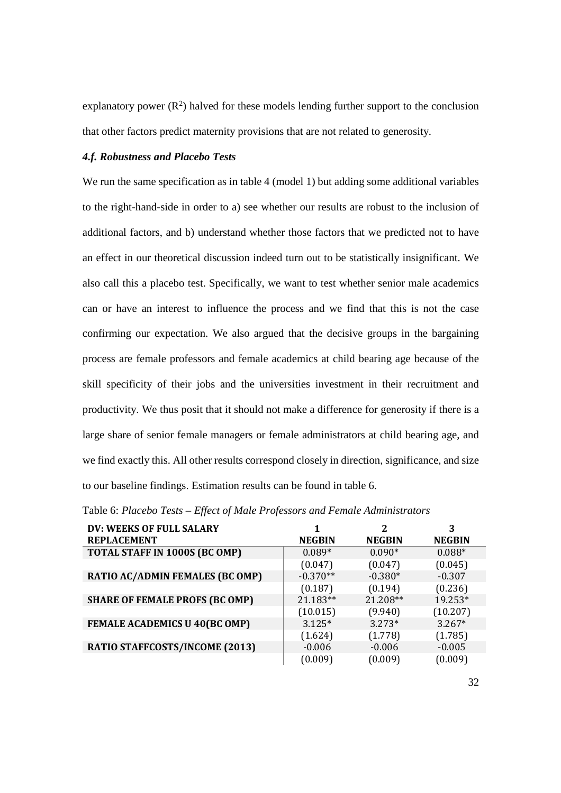explanatory power  $(R^2)$  halved for these models lending further support to the conclusion that other factors predict maternity provisions that are not related to generosity.

#### *4.f. Robustness and Placebo Tests*

We run the same specification as in table 4 (model 1) but adding some additional variables to the right-hand-side in order to a) see whether our results are robust to the inclusion of additional factors, and b) understand whether those factors that we predicted not to have an effect in our theoretical discussion indeed turn out to be statistically insignificant. We also call this a placebo test. Specifically, we want to test whether senior male academics can or have an interest to influence the process and we find that this is not the case confirming our expectation. We also argued that the decisive groups in the bargaining process are female professors and female academics at child bearing age because of the skill specificity of their jobs and the universities investment in their recruitment and productivity. We thus posit that it should not make a difference for generosity if there is a large share of senior female managers or female administrators at child bearing age, and we find exactly this. All other results correspond closely in direction, significance, and size to our baseline findings. Estimation results can be found in table 6.

| DV: WEEKS OF FULL SALARY              |               | 2             | 3             |
|---------------------------------------|---------------|---------------|---------------|
| <b>REPLACEMENT</b>                    | <b>NEGBIN</b> | <b>NEGBIN</b> | <b>NEGBIN</b> |
| TOTAL STAFF IN 1000S (BC OMP)         | $0.089*$      | $0.090*$      | $0.088*$      |
|                                       | (0.047)       | (0.047)       | (0.045)       |
| RATIO AC/ADMIN FEMALES (BC OMP)       | $-0.370**$    | $-0.380*$     | $-0.307$      |
|                                       | (0.187)       | (0.194)       | (0.236)       |
| <b>SHARE OF FEMALE PROFS (BC OMP)</b> | 21.183**      | 21.208**      | 19.253*       |
|                                       | (10.015)      | (9.940)       | (10.207)      |
| <b>FEMALE ACADEMICS U 40(BC OMP)</b>  | $3.125*$      | $3.273*$      | $3.267*$      |
|                                       | (1.624)       | (1.778)       | (1.785)       |
| RATIO STAFFCOSTS/INCOME (2013)        | $-0.006$      | $-0.006$      | $-0.005$      |
|                                       | (0.009)       | (0.009)       | (0.009)       |

Table 6: *Placebo Tests – Effect of Male Professors and Female Administrators*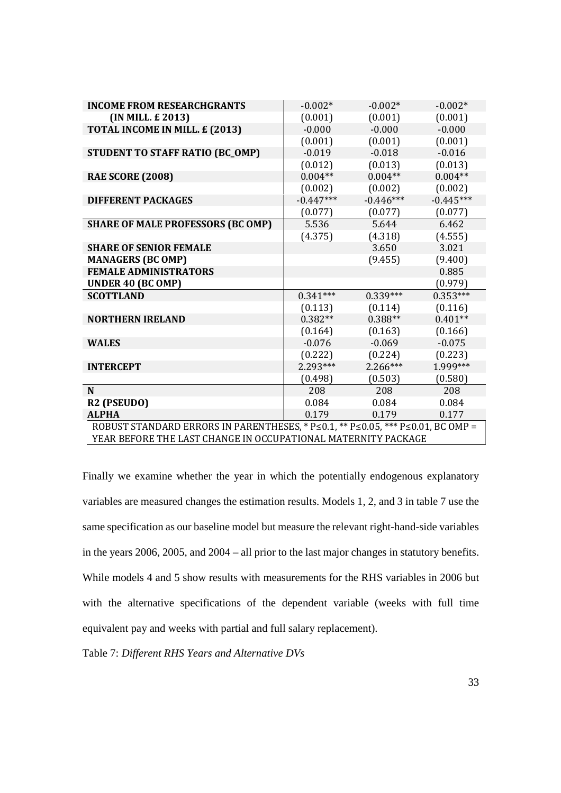| <b>INCOME FROM RESEARCHGRANTS</b>                                               | $-0.002*$   | $-0.002*$   | $-0.002*$   |
|---------------------------------------------------------------------------------|-------------|-------------|-------------|
| (IN MILL. £ 2013)                                                               | (0.001)     | (0.001)     | (0.001)     |
| TOTAL INCOME IN MILL. £ (2013)                                                  | $-0.000$    | $-0.000$    | $-0.000$    |
|                                                                                 | (0.001)     | (0.001)     | (0.001)     |
| <b>STUDENT TO STAFF RATIO (BC_OMP)</b>                                          | $-0.019$    | $-0.018$    | $-0.016$    |
|                                                                                 | (0.012)     | (0.013)     | (0.013)     |
| <b>RAE SCORE (2008)</b>                                                         | $0.004**$   | $0.004**$   | $0.004**$   |
|                                                                                 | (0.002)     | (0.002)     | (0.002)     |
| <b>DIFFERENT PACKAGES</b>                                                       | $-0.447***$ | $-0.446***$ | $-0.445***$ |
|                                                                                 | (0.077)     | (0.077)     | (0.077)     |
| <b>SHARE OF MALE PROFESSORS (BC OMP)</b>                                        | 5.536       | 5.644       | 6.462       |
|                                                                                 | (4.375)     | (4.318)     | (4.555)     |
| <b>SHARE OF SENIOR FEMALE</b>                                                   |             | 3.650       | 3.021       |
| <b>MANAGERS (BC OMP)</b>                                                        |             | (9.455)     | (9.400)     |
| <b>FEMALE ADMINISTRATORS</b>                                                    |             |             | 0.885       |
| <b>UNDER 40 (BC OMP)</b>                                                        |             |             | (0.979)     |
| <b>SCOTTLAND</b>                                                                | $0.341***$  | $0.339***$  | $0.353***$  |
|                                                                                 | (0.113)     | (0.114)     | (0.116)     |
| <b>NORTHERN IRELAND</b>                                                         | $0.382**$   | $0.388**$   | $0.401**$   |
|                                                                                 | (0.164)     | (0.163)     | (0.166)     |
| <b>WALES</b>                                                                    | $-0.076$    | $-0.069$    | $-0.075$    |
|                                                                                 | (0.222)     | (0.224)     | (0.223)     |
| <b>INTERCEPT</b>                                                                | 2.293***    | $2.266***$  | 1.999***    |
|                                                                                 | (0.498)     | (0.503)     | (0.580)     |
| N                                                                               | 208         | 208         | 208         |
| R <sub>2</sub> (PSEUDO)                                                         | 0.084       | 0.084       | 0.084       |
| <b>ALPHA</b>                                                                    | 0.179       | 0.179       | 0.177       |
| ROBUST STANDARD ERRORS IN PARENTHESES, * P≤0.1, ** P≤0.05, *** P≤0.01, BC OMP = |             |             |             |
| YEAR BEFORE THE LAST CHANGE IN OCCUPATIONAL MATERNITY PACKAGE                   |             |             |             |

Finally we examine whether the year in which the potentially endogenous explanatory variables are measured changes the estimation results. Models 1, 2, and 3 in table 7 use the same specification as our baseline model but measure the relevant right-hand-side variables in the years 2006, 2005, and 2004 – all prior to the last major changes in statutory benefits. While models 4 and 5 show results with measurements for the RHS variables in 2006 but with the alternative specifications of the dependent variable (weeks with full time equivalent pay and weeks with partial and full salary replacement).

Table 7: *Different RHS Years and Alternative DVs*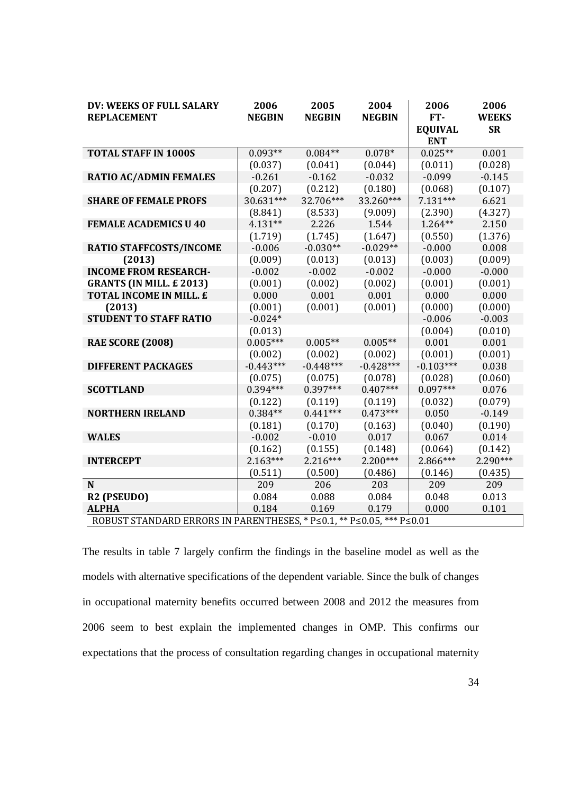| DV: WEEKS OF FULL SALARY                                              | 2006          | 2005          | 2004          | 2006                         | 2006         |
|-----------------------------------------------------------------------|---------------|---------------|---------------|------------------------------|--------------|
| <b>REPLACEMENT</b>                                                    | <b>NEGBIN</b> | <b>NEGBIN</b> | <b>NEGBIN</b> | FT-                          | <b>WEEKS</b> |
|                                                                       |               |               |               | <b>EQUIVAL</b><br><b>ENT</b> | <b>SR</b>    |
| <b>TOTAL STAFF IN 1000S</b>                                           | $0.093**$     | $0.084**$     | $0.078*$      | $0.025**$                    | 0.001        |
|                                                                       | (0.037)       | (0.041)       | (0.044)       | (0.011)                      | (0.028)      |
| <b>RATIO AC/ADMIN FEMALES</b>                                         | $-0.261$      | $-0.162$      | $-0.032$      | $-0.099$                     | $-0.145$     |
|                                                                       | (0.207)       | (0.212)       | (0.180)       | (0.068)                      | (0.107)      |
| <b>SHARE OF FEMALE PROFS</b>                                          | 30.631***     | 32.706***     | 33.260***     | $7.131***$                   | 6.621        |
|                                                                       | (8.841)       | (8.533)       | (9.009)       | (2.390)                      | (4.327)      |
| <b>FEMALE ACADEMICS U 40</b>                                          | 4.131**       | 2.226         | 1.544         | $1.264**$                    | 2.150        |
|                                                                       | (1.719)       | (1.745)       | (1.647)       | (0.550)                      | (1.376)      |
| RATIO STAFFCOSTS/INCOME                                               | $-0.006$      | $-0.030**$    | $-0.029**$    | $-0.000$                     | 0.008        |
| (2013)                                                                | (0.009)       | (0.013)       | (0.013)       | (0.003)                      | (0.009)      |
| <b>INCOME FROM RESEARCH-</b>                                          | $-0.002$      | $-0.002$      | $-0.002$      | $-0.000$                     | $-0.000$     |
| <b>GRANTS (IN MILL. £2013)</b>                                        | (0.001)       | (0.002)       | (0.002)       | (0.001)                      | (0.001)      |
| TOTAL INCOME IN MILL. £                                               | 0.000         | 0.001         | 0.001         | 0.000                        | 0.000        |
| (2013)                                                                | (0.001)       | (0.001)       | (0.001)       | (0.000)                      | (0.000)      |
| <b>STUDENT TO STAFF RATIO</b>                                         | $-0.024*$     |               |               | $-0.006$                     | $-0.003$     |
|                                                                       | (0.013)       |               |               | (0.004)                      | (0.010)      |
| <b>RAE SCORE (2008)</b>                                               | $0.005***$    | $0.005**$     | $0.005**$     | 0.001                        | 0.001        |
|                                                                       | (0.002)       | (0.002)       | (0.002)       | (0.001)                      | (0.001)      |
| <b>DIFFERENT PACKAGES</b>                                             | $-0.443***$   | $-0.448***$   | $-0.428***$   | $-0.103***$                  | 0.038        |
|                                                                       | (0.075)       | (0.075)       | (0.078)       | (0.028)                      | (0.060)      |
| <b>SCOTTLAND</b>                                                      | 0.394***      | $0.397***$    | $0.407***$    | $0.097***$                   | 0.076        |
|                                                                       | (0.122)       | (0.119)       | (0.119)       | (0.032)                      | (0.079)      |
| <b>NORTHERN IRELAND</b>                                               | $0.384**$     | $0.441***$    | $0.473***$    | 0.050                        | $-0.149$     |
|                                                                       | (0.181)       | (0.170)       | (0.163)       | (0.040)                      | (0.190)      |
| <b>WALES</b>                                                          | $-0.002$      | $-0.010$      | 0.017         | 0.067                        | 0.014        |
|                                                                       | (0.162)       | (0.155)       | (0.148)       | (0.064)                      | (0.142)      |
| <b>INTERCEPT</b>                                                      | $2.163***$    | $2.216***$    | $2.200***$    | 2.866***                     | 2.290***     |
|                                                                       | (0.511)       | (0.500)       | (0.486)       | (0.146)                      | (0.435)      |
| N                                                                     | 209           | 206           | 203           | 209                          | 209          |
| R2 (PSEUDO)                                                           | 0.084         | 0.088         | 0.084         | 0.048                        | 0.013        |
| <b>ALPHA</b>                                                          | 0.184         | 0.169         | 0.179         | 0.000                        | 0.101        |
| ROBUST STANDARD ERRORS IN PARENTHESES, * P≤0.1, ** P≤0.05, *** P≤0.01 |               |               |               |                              |              |

The results in table 7 largely confirm the findings in the baseline model as well as the models with alternative specifications of the dependent variable. Since the bulk of changes in occupational maternity benefits occurred between 2008 and 2012 the measures from 2006 seem to best explain the implemented changes in OMP. This confirms our expectations that the process of consultation regarding changes in occupational maternity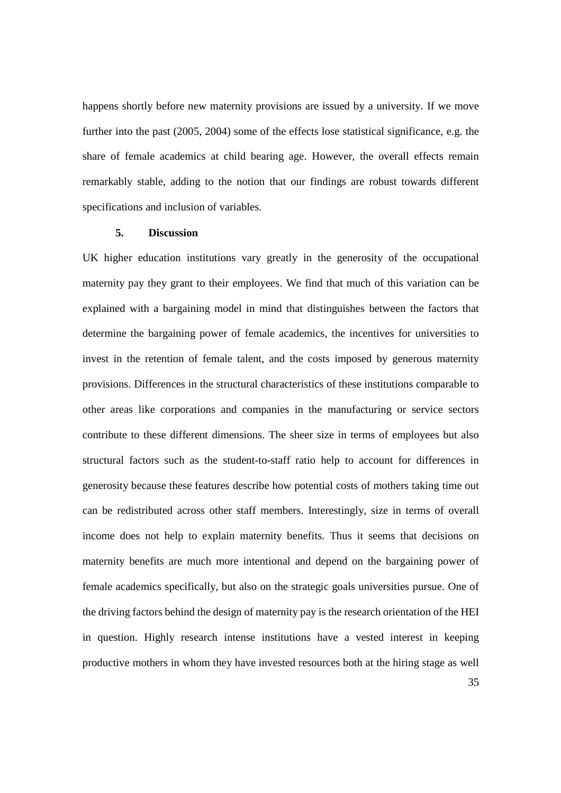happens shortly before new maternity provisions are issued by a university. If we move further into the past (2005, 2004) some of the effects lose statistical significance, e.g. the share of female academics at child bearing age. However, the overall effects remain remarkably stable, adding to the notion that our findings are robust towards different specifications and inclusion of variables.

#### **5. Discussion**

UK higher education institutions vary greatly in the generosity of the occupational maternity pay they grant to their employees. We find that much of this variation can be explained with a bargaining model in mind that distinguishes between the factors that determine the bargaining power of female academics, the incentives for universities to invest in the retention of female talent, and the costs imposed by generous maternity provisions. Differences in the structural characteristics of these institutions comparable to other areas like corporations and companies in the manufacturing or service sectors contribute to these different dimensions. The sheer size in terms of employees but also structural factors such as the student-to-staff ratio help to account for differences in generosity because these features describe how potential costs of mothers taking time out can be redistributed across other staff members. Interestingly, size in terms of overall income does not help to explain maternity benefits. Thus it seems that decisions on maternity benefits are much more intentional and depend on the bargaining power of female academics specifically, but also on the strategic goals universities pursue. One of the driving factors behind the design of maternity pay is the research orientation of the HEI in question. Highly research intense institutions have a vested interest in keeping productive mothers in whom they have invested resources both at the hiring stage as well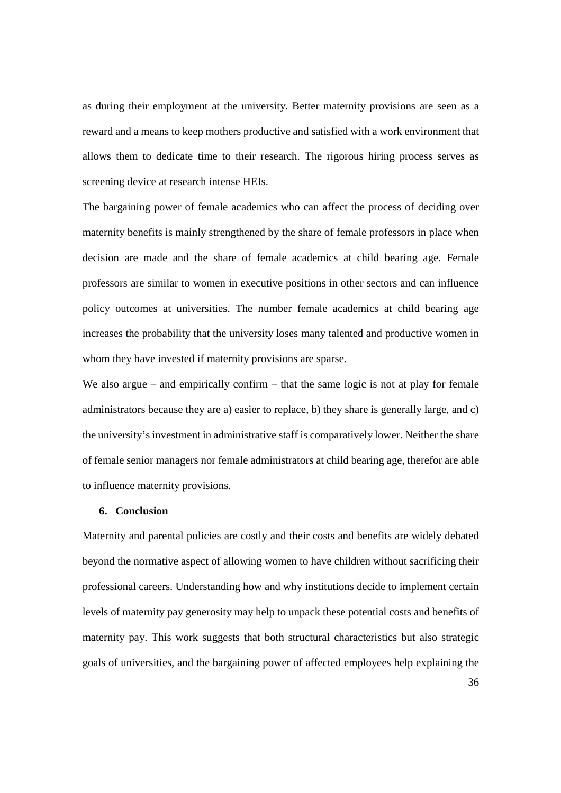as during their employment at the university. Better maternity provisions are seen as a reward and a means to keep mothers productive and satisfied with a work environment that allows them to dedicate time to their research. The rigorous hiring process serves as screening device at research intense HEIs.

The bargaining power of female academics who can affect the process of deciding over maternity benefits is mainly strengthened by the share of female professors in place when decision are made and the share of female academics at child bearing age. Female professors are similar to women in executive positions in other sectors and can influence policy outcomes at universities. The number female academics at child bearing age increases the probability that the university loses many talented and productive women in whom they have invested if maternity provisions are sparse.

We also argue – and empirically confirm – that the same logic is not at play for female administrators because they are a) easier to replace, b) they share is generally large, and c) the university's investment in administrative staff is comparatively lower. Neither the share of female senior managers nor female administrators at child bearing age, therefor are able to influence maternity provisions.

#### **6. Conclusion**

Maternity and parental policies are costly and their costs and benefits are widely debated beyond the normative aspect of allowing women to have children without sacrificing their professional careers. Understanding how and why institutions decide to implement certain levels of maternity pay generosity may help to unpack these potential costs and benefits of maternity pay. This work suggests that both structural characteristics but also strategic goals of universities, and the bargaining power of affected employees help explaining the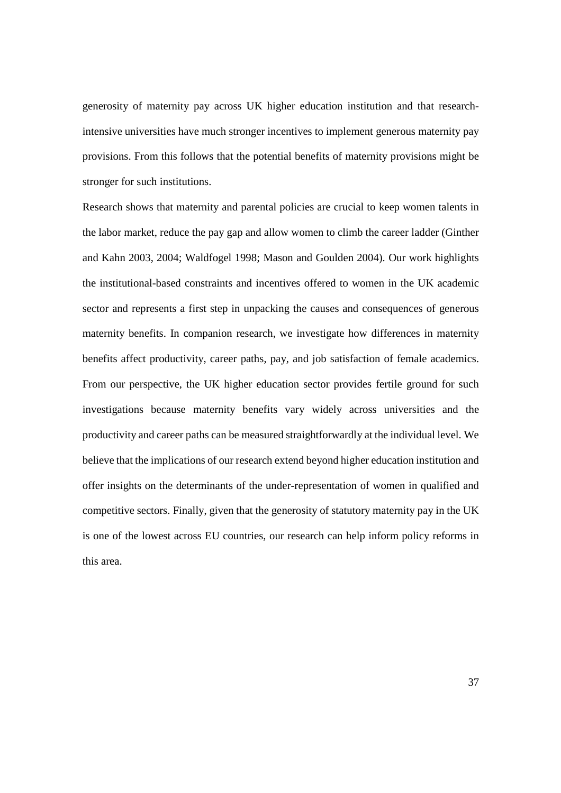generosity of maternity pay across UK higher education institution and that researchintensive universities have much stronger incentives to implement generous maternity pay provisions. From this follows that the potential benefits of maternity provisions might be stronger for such institutions.

Research shows that maternity and parental policies are crucial to keep women talents in the labor market, reduce the pay gap and allow women to climb the career ladder (Ginther and Kahn 2003, 2004; Waldfogel 1998; Mason and Goulden 2004). Our work highlights the institutional-based constraints and incentives offered to women in the UK academic sector and represents a first step in unpacking the causes and consequences of generous maternity benefits. In companion research, we investigate how differences in maternity benefits affect productivity, career paths, pay, and job satisfaction of female academics. From our perspective, the UK higher education sector provides fertile ground for such investigations because maternity benefits vary widely across universities and the productivity and career paths can be measured straightforwardly at the individual level. We believe that the implications of our research extend beyond higher education institution and offer insights on the determinants of the under-representation of women in qualified and competitive sectors. Finally, given that the generosity of statutory maternity pay in the UK is one of the lowest across EU countries, our research can help inform policy reforms in this area.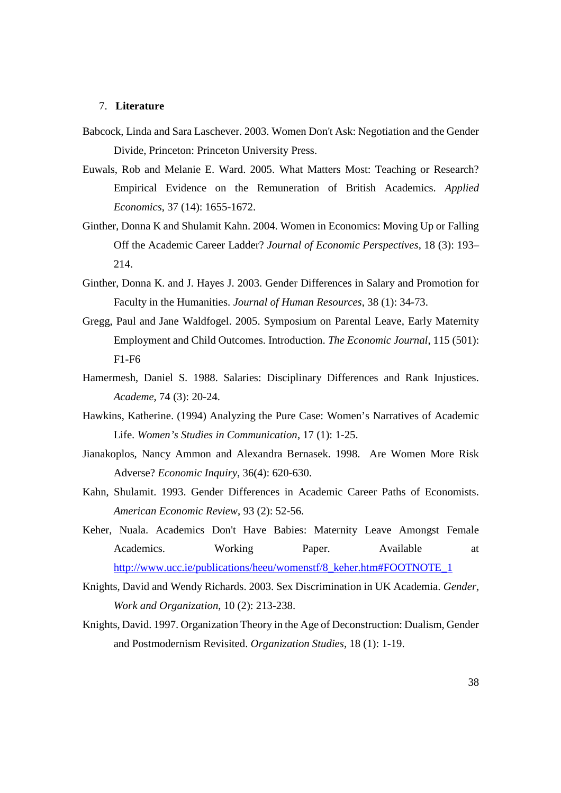#### 7. **Literature**

- Babcock, Linda and Sara Laschever. 2003. Women Don't Ask: Negotiation and the Gender Divide, Princeton: Princeton University Press.
- Euwals, Rob and Melanie E. Ward. 2005. What Matters Most: Teaching or Research? Empirical Evidence on the Remuneration of British Academics. *Applied Economics*, 37 (14): 1655-1672.
- Ginther, Donna K and Shulamit Kahn. 2004. Women in Economics: Moving Up or Falling Off the Academic Career Ladder? *Journal of Economic Perspectives*, 18 (3): 193– 214.
- Ginther, Donna K. and J. Hayes J. 2003. Gender Differences in Salary and Promotion for Faculty in the Humanities. *Journal of Human Resources*, 38 (1): 34-73.
- Gregg, Paul and Jane Waldfogel. 2005. Symposium on Parental Leave, Early Maternity Employment and Child Outcomes. Introduction. *The Economic Journal*, 115 (501): F1-F6
- Hamermesh, Daniel S. 1988. Salaries: Disciplinary Differences and Rank Injustices. *Academe*, 74 (3): 20-24.
- Hawkins, Katherine. (1994) Analyzing the Pure Case: Women's Narratives of Academic Life. *Women's Studies in Communication*, 17 (1): 1-25.
- Jianakoplos, Nancy Ammon and Alexandra Bernasek. 1998. Are Women More Risk Adverse? *Economic Inquiry*, 36(4): 620-630.
- Kahn, Shulamit. 1993. Gender Differences in Academic Career Paths of Economists. *American Economic Review*, 93 (2): 52-56.
- Keher, Nuala. Academics Don't Have Babies: Maternity Leave Amongst Female Academics. Working Paper. Available at http://www.ucc.ie/publications/heeu/womenstf/8\_keher.htm#FOOTNOTE\_1
- Knights, David and Wendy Richards. 2003. Sex Discrimination in UK Academia. *Gender, Work and Organization*, 10 (2): 213-238.
- Knights, David. 1997. Organization Theory in the Age of Deconstruction: Dualism, Gender and Postmodernism Revisited. *Organization Studies*, 18 (1): 1-19.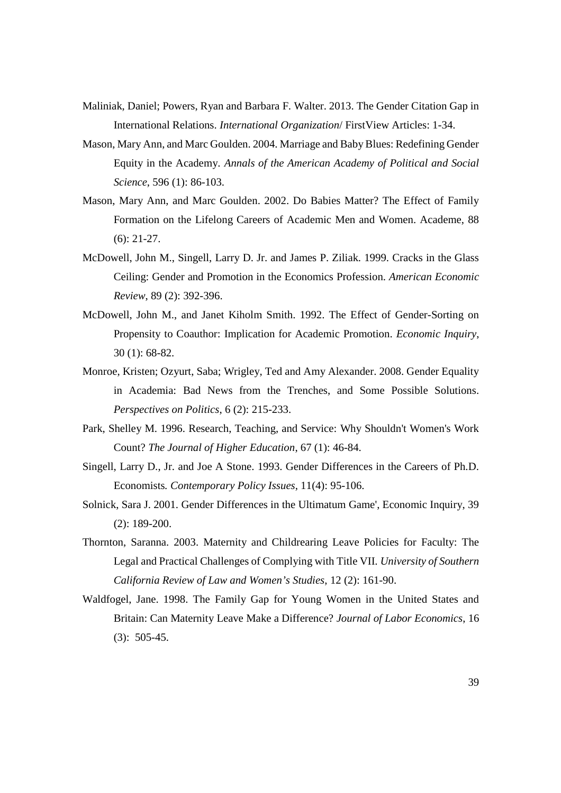- Maliniak, Daniel; Powers, Ryan and Barbara F. Walter. 2013. The Gender Citation Gap in International Relations. *International Organization*/ FirstView Articles: 1-34.
- Mason, Mary Ann, and Marc Goulden. 2004. Marriage and Baby Blues: Redefining Gender Equity in the Academy. *Annals of the American Academy of Political and Social Science*, 596 (1): 86-103.
- Mason, Mary Ann, and Marc Goulden. 2002. Do Babies Matter? The Effect of Family Formation on the Lifelong Careers of Academic Men and Women. Academe, 88 (6): 21-27.
- McDowell, John M., Singell, Larry D. Jr. and James P. Ziliak. 1999. Cracks in the Glass Ceiling: Gender and Promotion in the Economics Profession. *American Economic Review*, 89 (2): 392-396.
- McDowell, John M., and Janet Kiholm Smith. 1992. The Effect of Gender-Sorting on Propensity to Coauthor: Implication for Academic Promotion. *Economic Inquiry*, 30 (1): 68-82.
- Monroe, Kristen; Ozyurt, Saba; Wrigley, Ted and Amy Alexander. 2008. Gender Equality in Academia: Bad News from the Trenches, and Some Possible Solutions. *Perspectives on Politics*, 6 (2): 215-233.
- Park, Shelley M. 1996. Research, Teaching, and Service: Why Shouldn't Women's Work Count? *The Journal of Higher Education*, 67 (1): 46-84.
- Singell, Larry D., Jr. and Joe A Stone. 1993. Gender Differences in the Careers of Ph.D. Economists*. Contemporary Policy Issues*, 11(4): 95-106.
- Solnick, Sara J. 2001. Gender Differences in the Ultimatum Game', Economic Inquiry, 39 (2): 189-200.
- Thornton, Saranna. 2003. Maternity and Childrearing Leave Policies for Faculty: The Legal and Practical Challenges of Complying with Title VII. *University of Southern California Review of Law and Women's Studies*, 12 (2): 161-90.
- Waldfogel, Jane. 1998. The Family Gap for Young Women in the United States and Britain: Can Maternity Leave Make a Difference? *Journal of Labor Economics*, 16 (3): 505-45.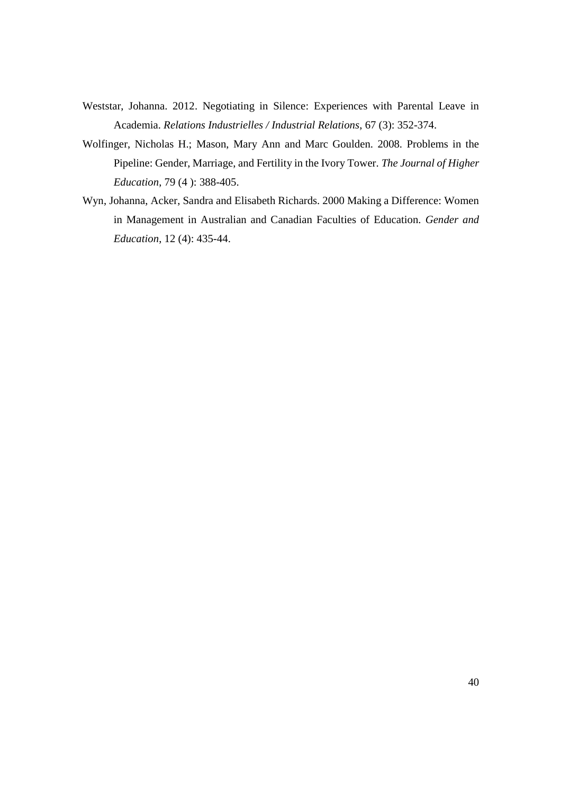- Weststar, Johanna. 2012. Negotiating in Silence: Experiences with Parental Leave in Academia. *Relations Industrielles / Industrial Relations*, 67 (3): 352-374.
- Wolfinger, Nicholas H.; Mason, Mary Ann and Marc Goulden. 2008. Problems in the Pipeline: Gender, Marriage, and Fertility in the Ivory Tower. *The Journal of Higher Education*, 79 (4 ): 388-405.
- Wyn, Johanna, Acker, Sandra and Elisabeth Richards. 2000 Making a Difference: Women in Management in Australian and Canadian Faculties of Education. *Gender and Education*, 12 (4): 435-44.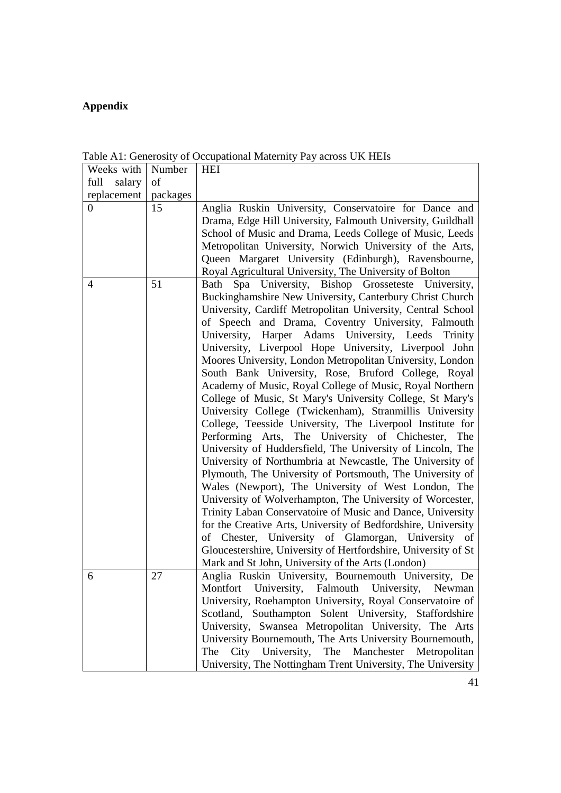### **Appendix**

| Weeks with       | Number   | <b>HEI</b>                                                                                                                                                                                                                                                                                                                                                                                                                                                                                                                                                                                                                                                                                                                                                                                                                                                                                                                                                                                                                                                                                                                                                                                                                                                                                                                                                                                                         |
|------------------|----------|--------------------------------------------------------------------------------------------------------------------------------------------------------------------------------------------------------------------------------------------------------------------------------------------------------------------------------------------------------------------------------------------------------------------------------------------------------------------------------------------------------------------------------------------------------------------------------------------------------------------------------------------------------------------------------------------------------------------------------------------------------------------------------------------------------------------------------------------------------------------------------------------------------------------------------------------------------------------------------------------------------------------------------------------------------------------------------------------------------------------------------------------------------------------------------------------------------------------------------------------------------------------------------------------------------------------------------------------------------------------------------------------------------------------|
| salary<br>full   | of       |                                                                                                                                                                                                                                                                                                                                                                                                                                                                                                                                                                                                                                                                                                                                                                                                                                                                                                                                                                                                                                                                                                                                                                                                                                                                                                                                                                                                                    |
| replacement      | packages |                                                                                                                                                                                                                                                                                                                                                                                                                                                                                                                                                                                                                                                                                                                                                                                                                                                                                                                                                                                                                                                                                                                                                                                                                                                                                                                                                                                                                    |
| $\boldsymbol{0}$ | 15       | Anglia Ruskin University, Conservatoire for Dance and<br>Drama, Edge Hill University, Falmouth University, Guildhall<br>School of Music and Drama, Leeds College of Music, Leeds<br>Metropolitan University, Norwich University of the Arts,<br>Queen Margaret University (Edinburgh), Ravensbourne,<br>Royal Agricultural University, The University of Bolton                                                                                                                                                                                                                                                                                                                                                                                                                                                                                                                                                                                                                                                                                                                                                                                                                                                                                                                                                                                                                                                    |
| $\overline{4}$   | 51       | Spa University, Bishop Grosseteste University,<br>Bath<br>Buckinghamshire New University, Canterbury Christ Church<br>University, Cardiff Metropolitan University, Central School<br>of Speech and Drama, Coventry University, Falmouth<br>Harper Adams University, Leeds<br>University,<br>Trinity<br>University, Liverpool Hope University, Liverpool John<br>Moores University, London Metropolitan University, London<br>South Bank University, Rose, Bruford College, Royal<br>Academy of Music, Royal College of Music, Royal Northern<br>College of Music, St Mary's University College, St Mary's<br>University College (Twickenham), Stranmillis University<br>College, Teesside University, The Liverpool Institute for<br>Performing Arts, The University of Chichester,<br>The<br>University of Huddersfield, The University of Lincoln, The<br>University of Northumbria at Newcastle, The University of<br>Plymouth, The University of Portsmouth, The University of<br>Wales (Newport), The University of West London, The<br>University of Wolverhampton, The University of Worcester,<br>Trinity Laban Conservatoire of Music and Dance, University<br>for the Creative Arts, University of Bedfordshire, University<br>of Chester, University of Glamorgan, University of<br>Gloucestershire, University of Hertfordshire, University of St<br>Mark and St John, University of the Arts (London) |
| 6                | 27       | Anglia Ruskin University, Bournemouth University, De<br>Montfort University, Falmouth University, Newman<br>University, Roehampton University, Royal Conservatoire of<br>Scotland, Southampton Solent University, Staffordshire<br>University, Swansea Metropolitan University, The Arts<br>University Bournemouth, The Arts University Bournemouth,<br>City University, The Manchester Metropolitan<br>The<br>University, The Nottingham Trent University, The University                                                                                                                                                                                                                                                                                                                                                                                                                                                                                                                                                                                                                                                                                                                                                                                                                                                                                                                                         |

Table A1: Generosity of Occupational Maternity Pay across UK HEIs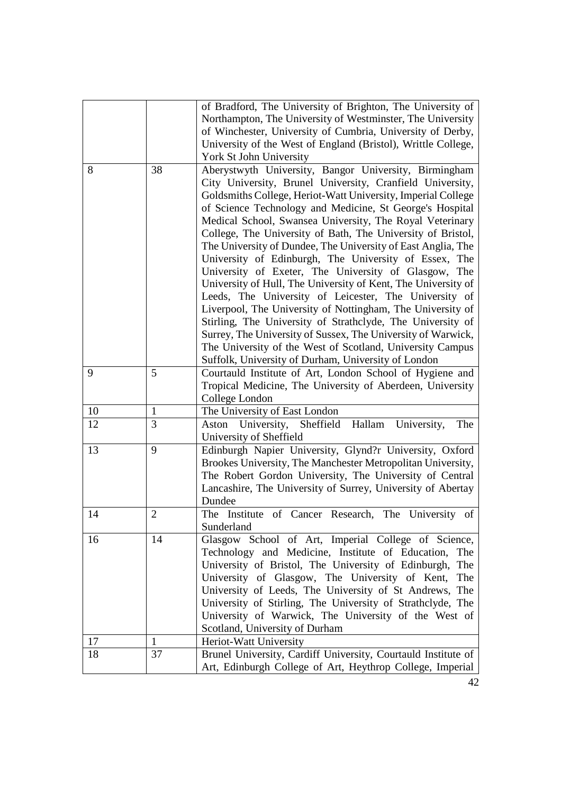|    |              | of Bradford, The University of Brighton, The University of                                                                                                                                                                                                                                                                                                                                                                                                                                                                                                                                                                                                                                                                                                                                                                                                                                                                                                                                           |
|----|--------------|------------------------------------------------------------------------------------------------------------------------------------------------------------------------------------------------------------------------------------------------------------------------------------------------------------------------------------------------------------------------------------------------------------------------------------------------------------------------------------------------------------------------------------------------------------------------------------------------------------------------------------------------------------------------------------------------------------------------------------------------------------------------------------------------------------------------------------------------------------------------------------------------------------------------------------------------------------------------------------------------------|
|    |              | Northampton, The University of Westminster, The University                                                                                                                                                                                                                                                                                                                                                                                                                                                                                                                                                                                                                                                                                                                                                                                                                                                                                                                                           |
|    |              | of Winchester, University of Cumbria, University of Derby,                                                                                                                                                                                                                                                                                                                                                                                                                                                                                                                                                                                                                                                                                                                                                                                                                                                                                                                                           |
|    |              | University of the West of England (Bristol), Writtle College,                                                                                                                                                                                                                                                                                                                                                                                                                                                                                                                                                                                                                                                                                                                                                                                                                                                                                                                                        |
|    |              | York St John University                                                                                                                                                                                                                                                                                                                                                                                                                                                                                                                                                                                                                                                                                                                                                                                                                                                                                                                                                                              |
| 8  | 38           | Aberystwyth University, Bangor University, Birmingham<br>City University, Brunel University, Cranfield University,<br>Goldsmiths College, Heriot-Watt University, Imperial College<br>of Science Technology and Medicine, St George's Hospital<br>Medical School, Swansea University, The Royal Veterinary<br>College, The University of Bath, The University of Bristol,<br>The University of Dundee, The University of East Anglia, The<br>University of Edinburgh, The University of Essex, The<br>University of Exeter, The University of Glasgow, The<br>University of Hull, The University of Kent, The University of<br>Leeds, The University of Leicester, The University of<br>Liverpool, The University of Nottingham, The University of<br>Stirling, The University of Strathclyde, The University of<br>Surrey, The University of Sussex, The University of Warwick,<br>The University of the West of Scotland, University Campus<br>Suffolk, University of Durham, University of London |
|    |              |                                                                                                                                                                                                                                                                                                                                                                                                                                                                                                                                                                                                                                                                                                                                                                                                                                                                                                                                                                                                      |
| 9  | 5            | Courtauld Institute of Art, London School of Hygiene and<br>Tropical Medicine, The University of Aberdeen, University<br>College London                                                                                                                                                                                                                                                                                                                                                                                                                                                                                                                                                                                                                                                                                                                                                                                                                                                              |
| 10 | 1            | The University of East London                                                                                                                                                                                                                                                                                                                                                                                                                                                                                                                                                                                                                                                                                                                                                                                                                                                                                                                                                                        |
| 12 | 3            | Aston University, Sheffield Hallam University,<br>The                                                                                                                                                                                                                                                                                                                                                                                                                                                                                                                                                                                                                                                                                                                                                                                                                                                                                                                                                |
|    |              | University of Sheffield                                                                                                                                                                                                                                                                                                                                                                                                                                                                                                                                                                                                                                                                                                                                                                                                                                                                                                                                                                              |
| 13 | 9            | Edinburgh Napier University, Glynd?r University, Oxford<br>Brookes University, The Manchester Metropolitan University,<br>The Robert Gordon University, The University of Central<br>Lancashire, The University of Surrey, University of Abertay<br>Dundee                                                                                                                                                                                                                                                                                                                                                                                                                                                                                                                                                                                                                                                                                                                                           |
| 14 | 2            | The Institute of Cancer Research, The University of<br>Sunderland                                                                                                                                                                                                                                                                                                                                                                                                                                                                                                                                                                                                                                                                                                                                                                                                                                                                                                                                    |
| 16 | 14           | Glasgow School of Art, Imperial College of Science,                                                                                                                                                                                                                                                                                                                                                                                                                                                                                                                                                                                                                                                                                                                                                                                                                                                                                                                                                  |
|    |              | Technology and Medicine, Institute of Education,<br>The<br>University of Bristol, The University of Edinburgh,<br>The<br>University of Glasgow, The University of Kent,<br>The<br>University of Leeds, The University of St Andrews, The<br>University of Stirling, The University of Strathclyde, The<br>University of Warwick, The University of the West of<br>Scotland, University of Durham                                                                                                                                                                                                                                                                                                                                                                                                                                                                                                                                                                                                     |
| 17 | $\mathbf{1}$ | Heriot-Watt University                                                                                                                                                                                                                                                                                                                                                                                                                                                                                                                                                                                                                                                                                                                                                                                                                                                                                                                                                                               |
| 18 | 37           | Brunel University, Cardiff University, Courtauld Institute of                                                                                                                                                                                                                                                                                                                                                                                                                                                                                                                                                                                                                                                                                                                                                                                                                                                                                                                                        |
|    |              | Art, Edinburgh College of Art, Heythrop College, Imperial                                                                                                                                                                                                                                                                                                                                                                                                                                                                                                                                                                                                                                                                                                                                                                                                                                                                                                                                            |